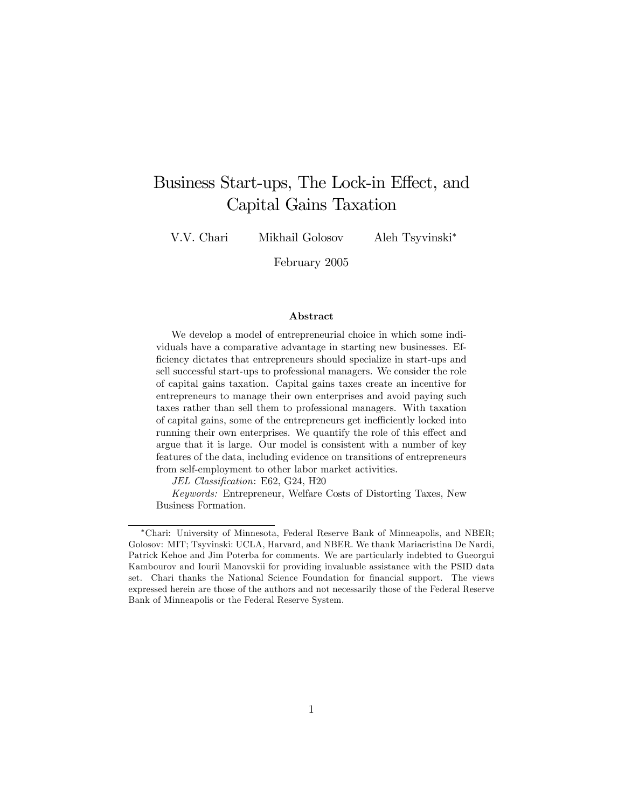# Business Start-ups, The Lock-in Effect, and Capital Gains Taxation

V.V. Chari Mikhail Golosov Aleh Tsyvinski

February 2005

#### Abstract

We develop a model of entrepreneurial choice in which some individuals have a comparative advantage in starting new businesses. Efficiency dictates that entrepreneurs should specialize in start-ups and sell successful start-ups to professional managers. We consider the role of capital gains taxation. Capital gains taxes create an incentive for entrepreneurs to manage their own enterprises and avoid paying such taxes rather than sell them to professional managers. With taxation of capital gains, some of the entrepreneurs get inefficiently locked into running their own enterprises. We quantify the role of this effect and argue that it is large. Our model is consistent with a number of key features of the data, including evidence on transitions of entrepreneurs from self-employment to other labor market activities.

JEL Classification: E62, G24, H20

Keywords: Entrepreneur, Welfare Costs of Distorting Taxes, New Business Formation.

Chari: University of Minnesota, Federal Reserve Bank of Minneapolis, and NBER; Golosov: MIT; Tsyvinski: UCLA, Harvard, and NBER. We thank Mariacristina De Nardi, Patrick Kehoe and Jim Poterba for comments. We are particularly indebted to Gueorgui Kambourov and Iourii Manovskii for providing invaluable assistance with the PSID data set. Chari thanks the National Science Foundation for financial support. The views expressed herein are those of the authors and not necessarily those of the Federal Reserve Bank of Minneapolis or the Federal Reserve System.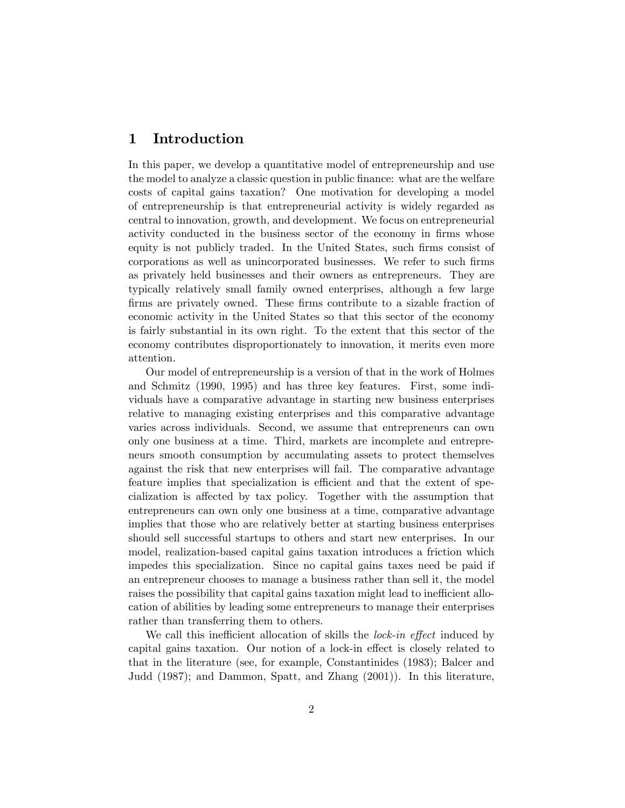## 1 Introduction

In this paper, we develop a quantitative model of entrepreneurship and use the model to analyze a classic question in public finance: what are the welfare costs of capital gains taxation? One motivation for developing a model of entrepreneurship is that entrepreneurial activity is widely regarded as central to innovation, growth, and development. We focus on entrepreneurial activity conducted in the business sector of the economy in firms whose equity is not publicly traded. In the United States, such firms consist of corporations as well as unincorporated businesses. We refer to such Örms as privately held businesses and their owners as entrepreneurs. They are typically relatively small family owned enterprises, although a few large firms are privately owned. These firms contribute to a sizable fraction of economic activity in the United States so that this sector of the economy is fairly substantial in its own right. To the extent that this sector of the economy contributes disproportionately to innovation, it merits even more attention.

Our model of entrepreneurship is a version of that in the work of Holmes and Schmitz (1990, 1995) and has three key features. First, some individuals have a comparative advantage in starting new business enterprises relative to managing existing enterprises and this comparative advantage varies across individuals. Second, we assume that entrepreneurs can own only one business at a time. Third, markets are incomplete and entrepreneurs smooth consumption by accumulating assets to protect themselves against the risk that new enterprises will fail. The comparative advantage feature implies that specialization is efficient and that the extent of specialization is affected by tax policy. Together with the assumption that entrepreneurs can own only one business at a time, comparative advantage implies that those who are relatively better at starting business enterprises should sell successful startups to others and start new enterprises. In our model, realization-based capital gains taxation introduces a friction which impedes this specialization. Since no capital gains taxes need be paid if an entrepreneur chooses to manage a business rather than sell it, the model raises the possibility that capital gains taxation might lead to inefficient allocation of abilities by leading some entrepreneurs to manage their enterprises rather than transferring them to others.

We call this inefficient allocation of skills the *lock-in effect* induced by capital gains taxation. Our notion of a lock-in effect is closely related to that in the literature (see, for example, Constantinides (1983); Balcer and Judd (1987); and Dammon, Spatt, and Zhang (2001)). In this literature,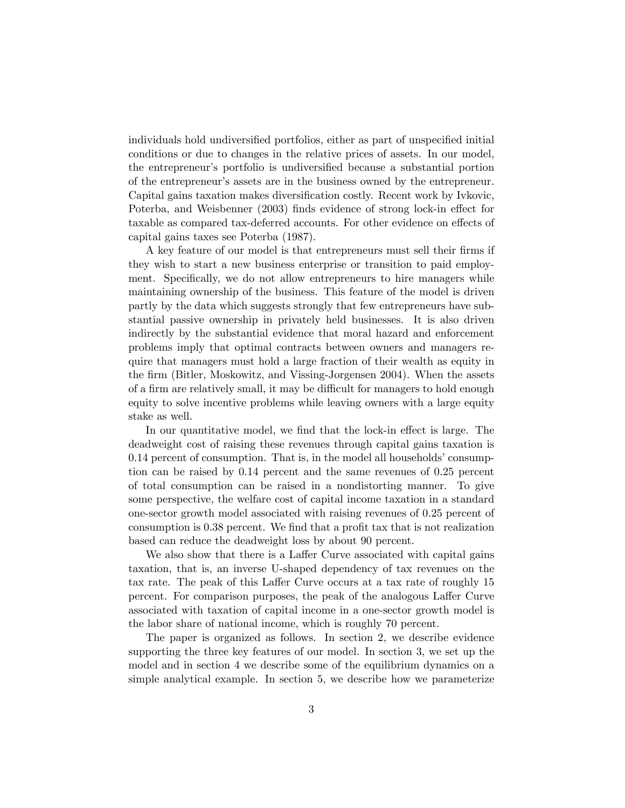individuals hold undiversified portfolios, either as part of unspecified initial conditions or due to changes in the relative prices of assets. In our model, the entrepreneur's portfolio is undiversified because a substantial portion of the entrepreneurís assets are in the business owned by the entrepreneur. Capital gains taxation makes diversification costly. Recent work by Ivkovic, Poterba, and Weisbenner (2003) finds evidence of strong lock-in effect for taxable as compared tax-deferred accounts. For other evidence on effects of capital gains taxes see Poterba (1987).

A key feature of our model is that entrepreneurs must sell their firms if they wish to start a new business enterprise or transition to paid employment. Specifically, we do not allow entrepreneurs to hire managers while maintaining ownership of the business. This feature of the model is driven partly by the data which suggests strongly that few entrepreneurs have substantial passive ownership in privately held businesses. It is also driven indirectly by the substantial evidence that moral hazard and enforcement problems imply that optimal contracts between owners and managers require that managers must hold a large fraction of their wealth as equity in the firm (Bitler, Moskowitz, and Vissing-Jorgensen 2004). When the assets of a firm are relatively small, it may be difficult for managers to hold enough equity to solve incentive problems while leaving owners with a large equity stake as well.

In our quantitative model, we find that the lock-in effect is large. The deadweight cost of raising these revenues through capital gains taxation is  $0.14$  percent of consumption. That is, in the model all households' consumption can be raised by 0.14 percent and the same revenues of 0.25 percent of total consumption can be raised in a nondistorting manner. To give some perspective, the welfare cost of capital income taxation in a standard one-sector growth model associated with raising revenues of 0.25 percent of consumption is 0.38 percent. We find that a profit tax that is not realization based can reduce the deadweight loss by about 90 percent.

We also show that there is a Laffer Curve associated with capital gains taxation, that is, an inverse U-shaped dependency of tax revenues on the tax rate. The peak of this Laffer Curve occurs at a tax rate of roughly 15 percent. For comparison purposes, the peak of the analogous Laffer Curve associated with taxation of capital income in a one-sector growth model is the labor share of national income, which is roughly 70 percent.

The paper is organized as follows. In section 2, we describe evidence supporting the three key features of our model. In section 3, we set up the model and in section 4 we describe some of the equilibrium dynamics on a simple analytical example. In section 5, we describe how we parameterize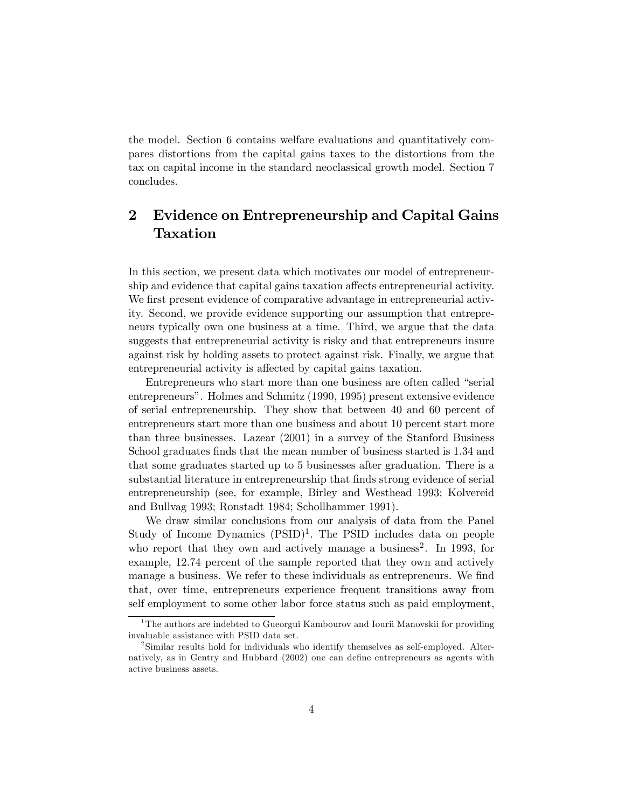the model. Section 6 contains welfare evaluations and quantitatively compares distortions from the capital gains taxes to the distortions from the tax on capital income in the standard neoclassical growth model. Section 7 concludes.

## 2 Evidence on Entrepreneurship and Capital Gains Taxation

In this section, we present data which motivates our model of entrepreneurship and evidence that capital gains taxation affects entrepreneurial activity. We first present evidence of comparative advantage in entrepreneurial activity. Second, we provide evidence supporting our assumption that entrepreneurs typically own one business at a time. Third, we argue that the data suggests that entrepreneurial activity is risky and that entrepreneurs insure against risk by holding assets to protect against risk. Finally, we argue that entrepreneurial activity is affected by capital gains taxation.

Entrepreneurs who start more than one business are often called "serial entrepreneursî. Holmes and Schmitz (1990, 1995) present extensive evidence of serial entrepreneurship. They show that between 40 and 60 percent of entrepreneurs start more than one business and about 10 percent start more than three businesses. Lazear (2001) in a survey of the Stanford Business School graduates finds that the mean number of business started is 1.34 and that some graduates started up to 5 businesses after graduation. There is a substantial literature in entrepreneurship that finds strong evidence of serial entrepreneurship (see, for example, Birley and Westhead 1993; Kolvereid and Bullvag 1993; Ronstadt 1984; Schollhammer 1991).

We draw similar conclusions from our analysis of data from the Panel Study of Income Dynamics  $(PSID)^1$ . The PSID includes data on people who report that they own and actively manage a business<sup>2</sup>. In 1993, for example, 12.74 percent of the sample reported that they own and actively manage a business. We refer to these individuals as entrepreneurs. We find that, over time, entrepreneurs experience frequent transitions away from self employment to some other labor force status such as paid employment,

 $1$ The authors are indebted to Gueorgui Kambourov and Iourii Manovskii for providing invaluable assistance with PSID data set.

<sup>&</sup>lt;sup>2</sup>Similar results hold for individuals who identify themselves as self-employed. Alternatively, as in Gentry and Hubbard (2002) one can define entrepreneurs as agents with active business assets.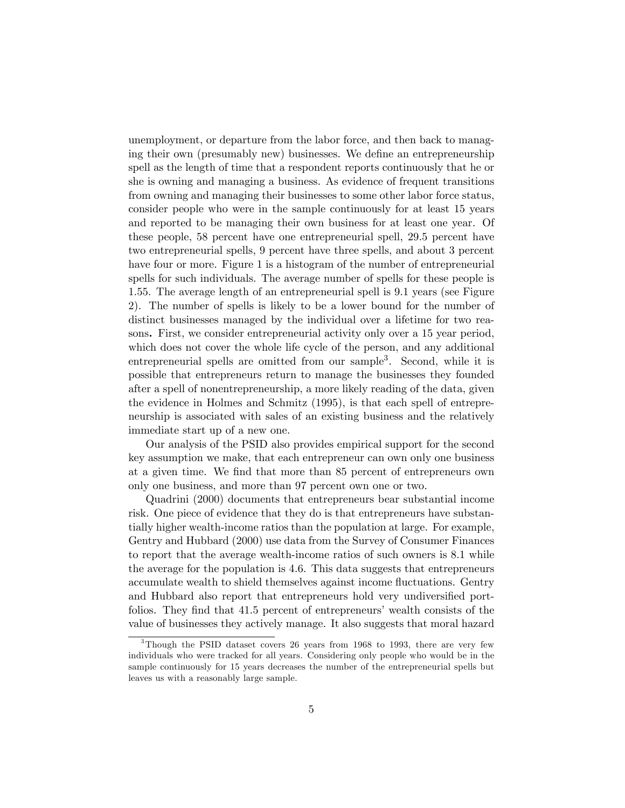unemployment, or departure from the labor force, and then back to managing their own (presumably new) businesses. We define an entrepreneurship spell as the length of time that a respondent reports continuously that he or she is owning and managing a business. As evidence of frequent transitions from owning and managing their businesses to some other labor force status, consider people who were in the sample continuously for at least 15 years and reported to be managing their own business for at least one year. Of these people, 58 percent have one entrepreneurial spell, 29.5 percent have two entrepreneurial spells, 9 percent have three spells, and about 3 percent have four or more. Figure 1 is a histogram of the number of entrepreneurial spells for such individuals. The average number of spells for these people is 1.55. The average length of an entrepreneurial spell is 9.1 years (see Figure 2). The number of spells is likely to be a lower bound for the number of distinct businesses managed by the individual over a lifetime for two reasons. First, we consider entrepreneurial activity only over a 15 year period, which does not cover the whole life cycle of the person, and any additional entrepreneurial spells are omitted from our sample<sup>3</sup>. Second, while it is possible that entrepreneurs return to manage the businesses they founded after a spell of nonentrepreneurship, a more likely reading of the data, given the evidence in Holmes and Schmitz (1995), is that each spell of entrepreneurship is associated with sales of an existing business and the relatively immediate start up of a new one.

Our analysis of the PSID also provides empirical support for the second key assumption we make, that each entrepreneur can own only one business at a given time. We Önd that more than 85 percent of entrepreneurs own only one business, and more than 97 percent own one or two.

Quadrini (2000) documents that entrepreneurs bear substantial income risk. One piece of evidence that they do is that entrepreneurs have substantially higher wealth-income ratios than the population at large. For example, Gentry and Hubbard (2000) use data from the Survey of Consumer Finances to report that the average wealth-income ratios of such owners is 8.1 while the average for the population is 4.6. This data suggests that entrepreneurs accumulate wealth to shield themselves against income fluctuations. Gentry and Hubbard also report that entrepreneurs hold very undiversified portfolios. They find that 41.5 percent of entrepreneurs' wealth consists of the value of businesses they actively manage. It also suggests that moral hazard

<sup>&</sup>lt;sup>3</sup>Though the PSID dataset covers 26 years from 1968 to 1993, there are very few individuals who were tracked for all years. Considering only people who would be in the sample continuously for 15 years decreases the number of the entrepreneurial spells but leaves us with a reasonably large sample.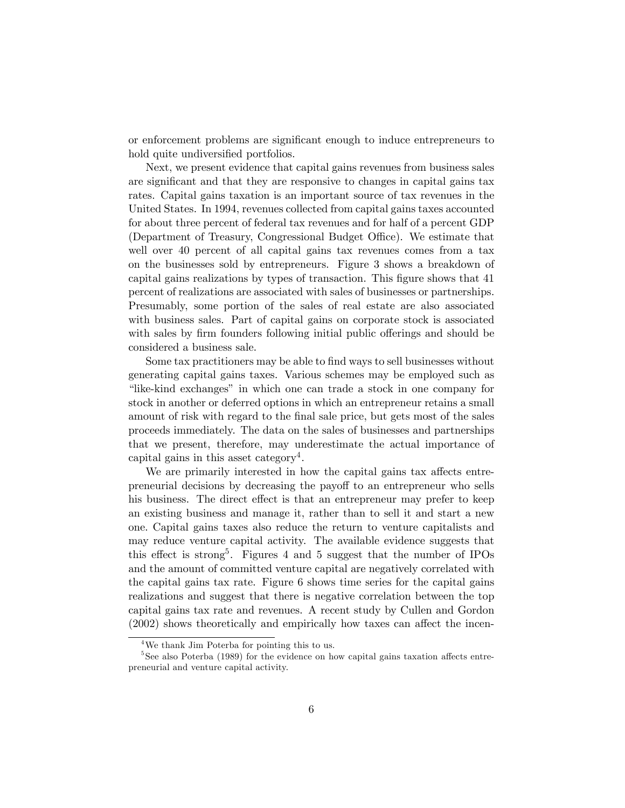or enforcement problems are significant enough to induce entrepreneurs to hold quite undiversified portfolios.

Next, we present evidence that capital gains revenues from business sales are significant and that they are responsive to changes in capital gains tax rates. Capital gains taxation is an important source of tax revenues in the United States. In 1994, revenues collected from capital gains taxes accounted for about three percent of federal tax revenues and for half of a percent GDP (Department of Treasury, Congressional Budget Office). We estimate that well over 40 percent of all capital gains tax revenues comes from a tax on the businesses sold by entrepreneurs. Figure 3 shows a breakdown of capital gains realizations by types of transaction. This Ögure shows that 41 percent of realizations are associated with sales of businesses or partnerships. Presumably, some portion of the sales of real estate are also associated with business sales. Part of capital gains on corporate stock is associated with sales by firm founders following initial public offerings and should be considered a business sale.

Some tax practitioners may be able to find ways to sell businesses without generating capital gains taxes. Various schemes may be employed such as ìlike-kind exchangesî in which one can trade a stock in one company for stock in another or deferred options in which an entrepreneur retains a small amount of risk with regard to the final sale price, but gets most of the sales proceeds immediately. The data on the sales of businesses and partnerships that we present, therefore, may underestimate the actual importance of capital gains in this asset category<sup>4</sup>.

We are primarily interested in how the capital gains tax affects entrepreneurial decisions by decreasing the payoff to an entrepreneur who sells his business. The direct effect is that an entrepreneur may prefer to keep an existing business and manage it, rather than to sell it and start a new one. Capital gains taxes also reduce the return to venture capitalists and may reduce venture capital activity. The available evidence suggests that this effect is strong<sup>5</sup>. Figures 4 and 5 suggest that the number of IPOs and the amount of committed venture capital are negatively correlated with the capital gains tax rate. Figure 6 shows time series for the capital gains realizations and suggest that there is negative correlation between the top capital gains tax rate and revenues. A recent study by Cullen and Gordon  $(2002)$  shows theoretically and empirically how taxes can affect the incen-

<sup>4</sup>We thank Jim Poterba for pointing this to us.

 $5$ See also Poterba (1989) for the evidence on how capital gains taxation affects entrepreneurial and venture capital activity.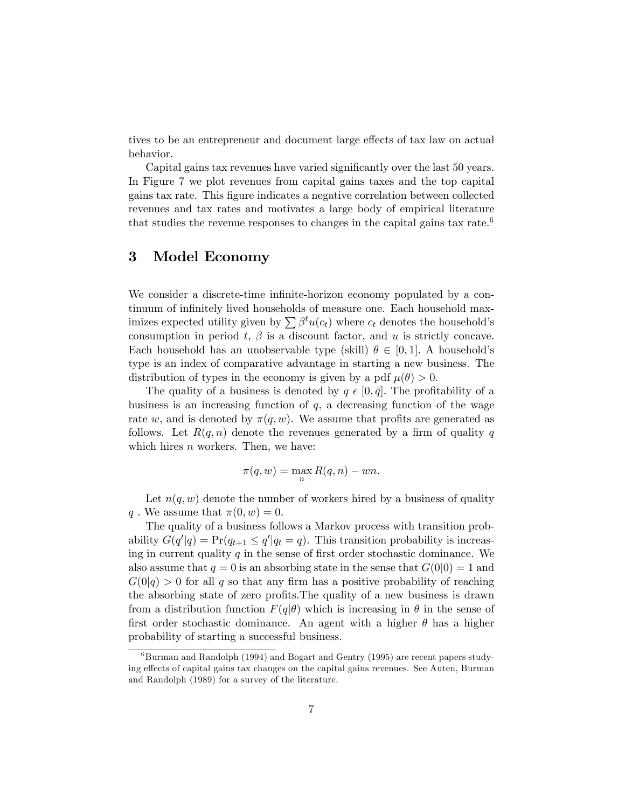tives to be an entrepreneur and document large effects of tax law on actual behavior.

Capital gains tax revenues have varied significantly over the last 50 years. In Figure 7 we plot revenues from capital gains taxes and the top capital gains tax rate. This Ögure indicates a negative correlation between collected revenues and tax rates and motivates a large body of empirical literature that studies the revenue responses to changes in the capital gains tax rate.<sup>6</sup>

## 3 Model Economy

We consider a discrete-time infinite-horizon economy populated by a continuum of infinitely lived households of measure one. Each household maximizes expected utility given by  $\sum \beta^t u(c_t)$  where  $c_t$  denotes the household's consumption in period  $t, \beta$  is a discount factor, and u is strictly concave. Each household has an unobservable type (skill)  $\theta \in [0, 1]$ . A household's type is an index of comparative advantage in starting a new business. The distribution of types in the economy is given by a pdf  $\mu(\theta) > 0$ .

The quality of a business is denoted by  $q \in [0, \bar{q}]$ . The profitability of a business is an increasing function of  $q$ , a decreasing function of the wage rate w, and is denoted by  $\pi(q, w)$ . We assume that profits are generated as follows. Let  $R(q, n)$  denote the revenues generated by a firm of quality q which hires  $n$  workers. Then, we have:

$$
\pi(q, w) = \max_{n} R(q, n) - wn.
$$

Let  $n(q, w)$  denote the number of workers hired by a business of quality q. We assume that  $\pi(0, w) = 0$ .

The quality of a business follows a Markov process with transition probability  $G(q'|q) = Pr(q_{t+1} \leq q'|q_t = q)$ . This transition probability is increasing in current quality  $q$  in the sense of first order stochastic dominance. We also assume that  $q = 0$  is an absorbing state in the sense that  $G(0|0) = 1$  and  $G(0|q) > 0$  for all q so that any firm has a positive probability of reaching the absorbing state of zero profits. The quality of a new business is drawn from a distribution function  $F(q|\theta)$  which is increasing in  $\theta$  in the sense of first order stochastic dominance. An agent with a higher  $\theta$  has a higher probability of starting a successful business.

 ${}^{6}$ Burman and Randolph (1994) and Bogart and Gentry (1995) are recent papers studying effects of capital gains tax changes on the capital gains revenues. See Auten, Burman and Randolph (1989) for a survey of the literature.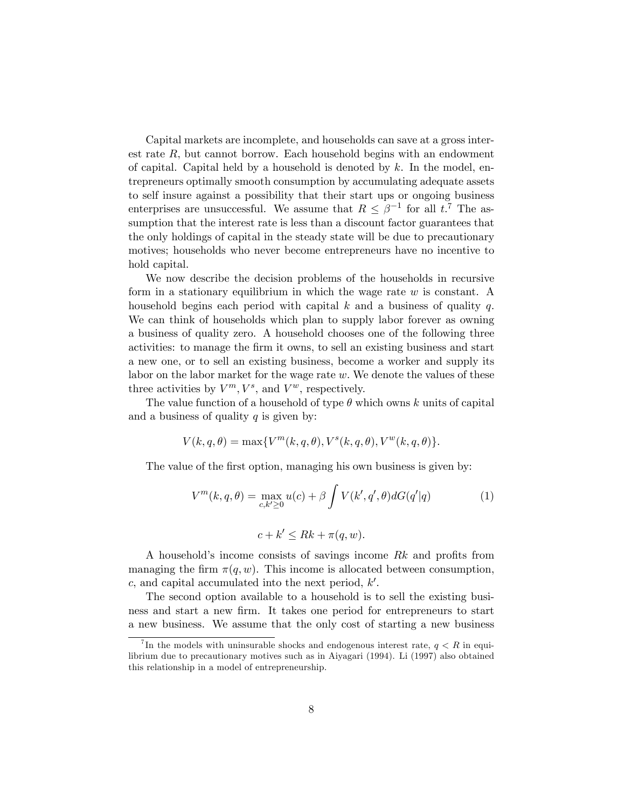Capital markets are incomplete, and households can save at a gross interest rate  $R$ , but cannot borrow. Each household begins with an endowment of capital. Capital held by a household is denoted by  $k$ . In the model, entrepreneurs optimally smooth consumption by accumulating adequate assets to self insure against a possibility that their start ups or ongoing business enterprises are unsuccessful. We assume that  $R \leq \beta^{-1}$  for all  $t.^7$  The assumption that the interest rate is less than a discount factor guarantees that the only holdings of capital in the steady state will be due to precautionary motives; households who never become entrepreneurs have no incentive to hold capital.

We now describe the decision problems of the households in recursive form in a stationary equilibrium in which the wage rate  $w$  is constant. A household begins each period with capital  $k$  and a business of quality  $q$ . We can think of households which plan to supply labor forever as owning a business of quality zero. A household chooses one of the following three activities: to manage the Örm it owns, to sell an existing business and start a new one, or to sell an existing business, become a worker and supply its labor on the labor market for the wage rate  $w$ . We denote the values of these three activities by  $V^m$ ,  $V^s$ , and  $V^w$ , respectively.

The value function of a household of type  $\theta$  which owns k units of capital and a business of quality  $q$  is given by:

$$
V(k,q,\theta)=\max\{V^m(k,q,\theta),V^s(k,q,\theta),V^w(k,q,\theta)\}.
$$

The value of the first option, managing his own business is given by:

$$
V^m(k, q, \theta) = \max_{c, k' \ge 0} u(c) + \beta \int V(k', q', \theta) dG(q'|q)
$$
 (1)

$$
c + k' \leq Rk + \pi(q, w).
$$

A household's income consists of savings income  $Rk$  and profits from managing the firm  $\pi(q, w)$ . This income is allocated between consumption, c, and capital accumulated into the next period,  $k'$ .

The second option available to a household is to sell the existing business and start a new firm. It takes one period for entrepreneurs to start a new business. We assume that the only cost of starting a new business

<sup>&</sup>lt;sup>7</sup>In the models with uninsurable shocks and endogenous interest rate,  $q < R$  in equilibrium due to precautionary motives such as in Aiyagari (1994). Li (1997) also obtained this relationship in a model of entrepreneurship.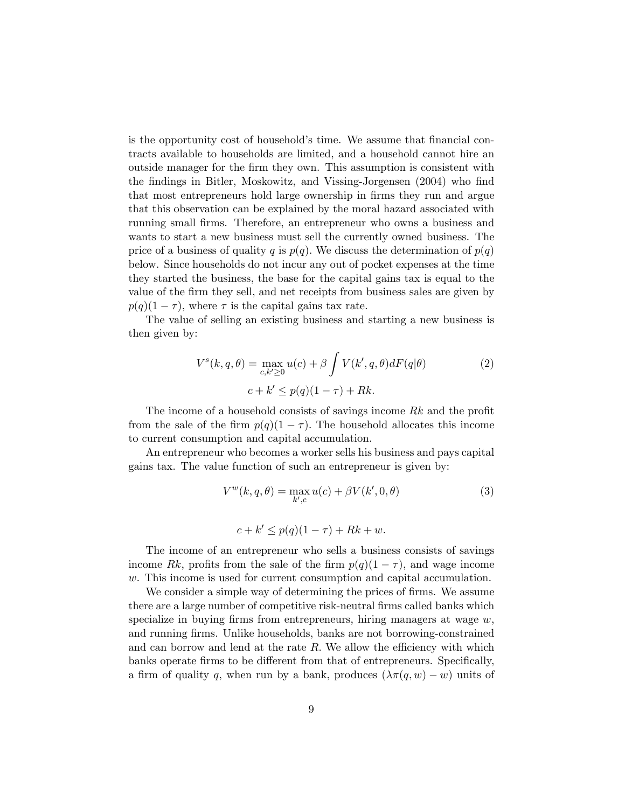is the opportunity cost of household's time. We assume that financial contracts available to households are limited, and a household cannot hire an outside manager for the Örm they own. This assumption is consistent with the findings in Bitler, Moskowitz, and Vissing-Jorgensen (2004) who find that most entrepreneurs hold large ownership in firms they run and argue that this observation can be explained by the moral hazard associated with running small Örms. Therefore, an entrepreneur who owns a business and wants to start a new business must sell the currently owned business. The price of a business of quality q is  $p(q)$ . We discuss the determination of  $p(q)$ below. Since households do not incur any out of pocket expenses at the time they started the business, the base for the capital gains tax is equal to the value of the Örm they sell, and net receipts from business sales are given by  $p(q)(1 - \tau)$ , where  $\tau$  is the capital gains tax rate.

The value of selling an existing business and starting a new business is then given by:

$$
V^{s}(k,q,\theta) = \max_{c,k'\geq 0} u(c) + \beta \int V(k',q,\theta)dF(q|\theta)
$$
  

$$
c + k' \leq p(q)(1-\tau) + Rk.
$$
 (2)

The income of a household consists of savings income  $Rk$  and the profit from the sale of the firm  $p(q)(1 - \tau)$ . The household allocates this income to current consumption and capital accumulation.

An entrepreneur who becomes a worker sells his business and pays capital gains tax. The value function of such an entrepreneur is given by:

$$
V^{w}(k, q, \theta) = \max_{k', c} u(c) + \beta V(k', 0, \theta)
$$
  

$$
c + k' \le p(q)(1 - \tau) + Rk + w.
$$
 (3)

The income of an entrepreneur who sells a business consists of savings income Rk, profits from the sale of the firm  $p(q)(1 - \tau)$ , and wage income w. This income is used for current consumption and capital accumulation.

We consider a simple way of determining the prices of firms. We assume there are a large number of competitive risk-neutral firms called banks which specialize in buying firms from entrepreneurs, hiring managers at wage  $w$ , and running Örms. Unlike households, banks are not borrowing-constrained and can borrow and lend at the rate  $R$ . We allow the efficiency with which banks operate firms to be different from that of entrepreneurs. Specifically, a firm of quality q, when run by a bank, produces  $(\lambda \pi(q, w) - w)$  units of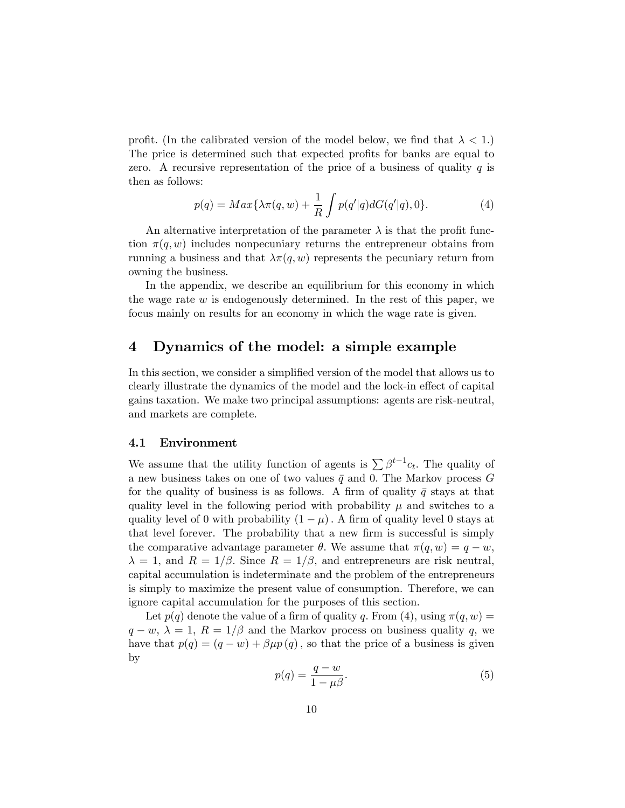profit. (In the calibrated version of the model below, we find that  $\lambda < 1$ .) The price is determined such that expected profits for banks are equal to zero. A recursive representation of the price of a business of quality  $q$  is then as follows:

$$
p(q) = Max\{\lambda \pi(q, w) + \frac{1}{R} \int p(q'|q) dG(q'|q), 0\}.
$$
 (4)

An alternative interpretation of the parameter  $\lambda$  is that the profit function  $\pi(q, w)$  includes nonpecuniary returns the entrepreneur obtains from running a business and that  $\lambda \pi(q, w)$  represents the pecuniary return from owning the business.

In the appendix, we describe an equilibrium for this economy in which the wage rate  $w$  is endogenously determined. In the rest of this paper, we focus mainly on results for an economy in which the wage rate is given.

## 4 Dynamics of the model: a simple example

In this section, we consider a simplified version of the model that allows us to clearly illustrate the dynamics of the model and the lock-in effect of capital gains taxation. We make two principal assumptions: agents are risk-neutral, and markets are complete.

#### 4.1 Environment

We assume that the utility function of agents is  $\sum \beta^{t-1} c_t$ . The quality of a new business takes on one of two values  $\bar{q}$  and 0. The Markov process G for the quality of business is as follows. A firm of quality  $\bar{q}$  stays at that quality level in the following period with probability  $\mu$  and switches to a quality level of 0 with probability  $(1 - \mu)$ . A firm of quality level 0 stays at that level forever. The probability that a new firm is successful is simply the comparative advantage parameter  $\theta$ . We assume that  $\pi(q, w) = q - w$ ;  $\lambda = 1$ , and  $R = 1/\beta$ . Since  $R = 1/\beta$ , and entrepreneurs are risk neutral, capital accumulation is indeterminate and the problem of the entrepreneurs is simply to maximize the present value of consumption. Therefore, we can ignore capital accumulation for the purposes of this section.

Let  $p(q)$  denote the value of a firm of quality q. From (4), using  $\pi(q, w)$  =  $q - w$ ,  $\lambda = 1$ ,  $R = 1/\beta$  and the Markov process on business quality q, we have that  $p(q) = (q - w) + \beta \mu p(q)$ , so that the price of a business is given by

$$
p(q) = \frac{q - w}{1 - \mu \beta}.\tag{5}
$$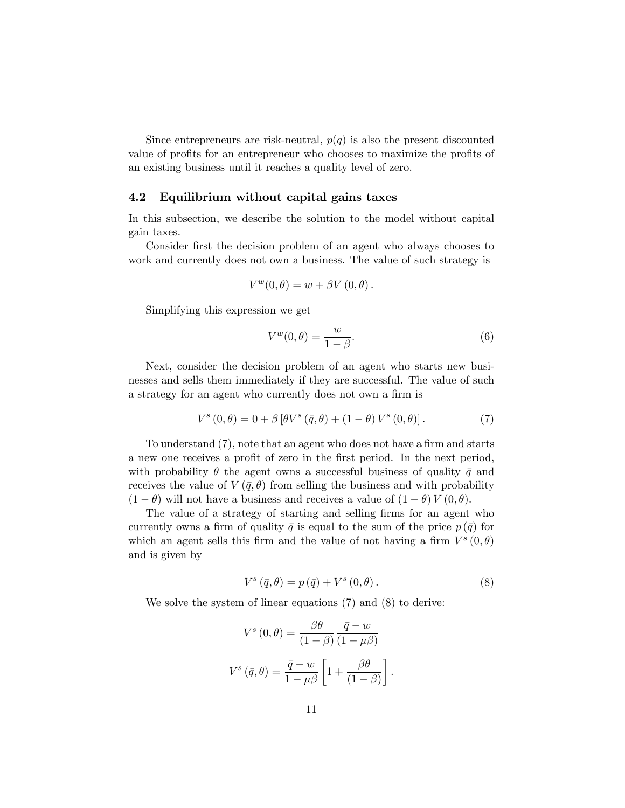Since entrepreneurs are risk-neutral,  $p(q)$  is also the present discounted value of profits for an entrepreneur who chooses to maximize the profits of an existing business until it reaches a quality level of zero.

#### 4.2 Equilibrium without capital gains taxes

In this subsection, we describe the solution to the model without capital gain taxes.

Consider first the decision problem of an agent who always chooses to work and currently does not own a business. The value of such strategy is

$$
V^{w}(0, \theta) = w + \beta V(0, \theta).
$$

Simplifying this expression we get

$$
V^w(0,\theta) = \frac{w}{1-\beta}.\tag{6}
$$

Next, consider the decision problem of an agent who starts new businesses and sells them immediately if they are successful. The value of such a strategy for an agent who currently does not own a firm is

$$
V^{s}(0, \theta) = 0 + \beta [\theta V^{s}(\bar{q}, \theta) + (1 - \theta) V^{s}(0, \theta)].
$$
 (7)

To understand  $(7)$ , note that an agent who does not have a firm and starts a new one receives a profit of zero in the first period. In the next period, with probability  $\theta$  the agent owns a successful business of quality  $\bar{q}$  and receives the value of  $V(\bar{q},\theta)$  from selling the business and with probability  $(1 - \theta)$  will not have a business and receives a value of  $(1 - \theta) V (0, \theta)$ .

The value of a strategy of starting and selling firms for an agent who currently owns a firm of quality  $\bar{q}$  is equal to the sum of the price  $p(\bar{q})$  for which an agent sells this firm and the value of not having a firm  $V^s(0,\theta)$ and is given by

$$
V^{s}(\bar{q},\theta) = p(\bar{q}) + V^{s}(0,\theta). \qquad (8)
$$

We solve the system of linear equations  $(7)$  and  $(8)$  to derive:

$$
V^{s}(0, \theta) = \frac{\beta \theta}{(1 - \beta)} \frac{\bar{q} - w}{(1 - \mu \beta)}
$$

$$
V^{s}(\bar{q}, \theta) = \frac{\bar{q} - w}{1 - \mu \beta} \left[ 1 + \frac{\beta \theta}{(1 - \beta)} \right].
$$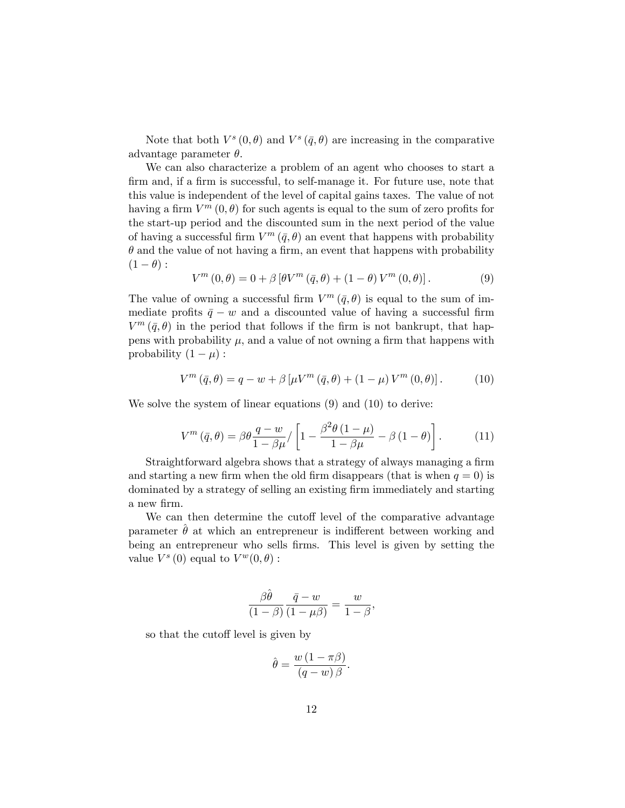Note that both  $V^s(0, \theta)$  and  $V^s(\bar{q}, \theta)$  are increasing in the comparative advantage parameter  $\theta$ .

We can also characterize a problem of an agent who chooses to start a firm and, if a firm is successful, to self-manage it. For future use, note that this value is independent of the level of capital gains taxes. The value of not having a firm  $V^m(0, \theta)$  for such agents is equal to the sum of zero profits for the start-up period and the discounted sum in the next period of the value of having a successful firm  $V^m(\bar{q},\theta)$  an event that happens with probability  $\theta$  and the value of not having a firm, an event that happens with probability  $(1 - \theta)$ :

$$
V^{m}(0,\theta) = 0 + \beta \left[\theta V^{m}(\bar{q},\theta) + (1-\theta) V^{m}(0,\theta)\right].
$$
 (9)

The value of owning a successful firm  $V^m(\bar{q},\theta)$  is equal to the sum of immediate profits  $\bar{q} - w$  and a discounted value of having a successful firm  $V^m(\bar{q},\theta)$  in the period that follows if the firm is not bankrupt, that happens with probability  $\mu$ , and a value of not owning a firm that happens with probability  $(1 - \mu)$ :

$$
V^{m}(\bar{q},\theta) = q - w + \beta \left[ \mu V^{m}(\bar{q},\theta) + (1 - \mu) V^{m}(0,\theta) \right].
$$
 (10)

We solve the system of linear equations  $(9)$  and  $(10)$  to derive:

$$
V^{m}(\bar{q},\theta) = \beta \theta \frac{q-w}{1-\beta\mu} / \left[1 - \frac{\beta^{2}\theta \left(1-\mu\right)}{1-\beta\mu} - \beta \left(1-\theta\right)\right]. \tag{11}
$$

Straightforward algebra shows that a strategy of always managing a firm and starting a new firm when the old firm disappears (that is when  $q = 0$ ) is dominated by a strategy of selling an existing firm immediately and starting a new firm.

We can then determine the cutoff level of the comparative advantage parameter  $\theta$  at which an entrepreneur is indifferent between working and being an entrepreneur who sells firms. This level is given by setting the value  $V^s(0)$  equal to  $V^w(0, \theta)$ :

$$
\frac{\beta\hat{\theta}}{(1-\beta)}\frac{\bar{q}-w}{(1-\mu\beta)}=\frac{w}{1-\beta},
$$

so that the cutoff level is given by

$$
\hat{\theta} = \frac{w(1-\pi\beta)}{(q-w)\beta}.
$$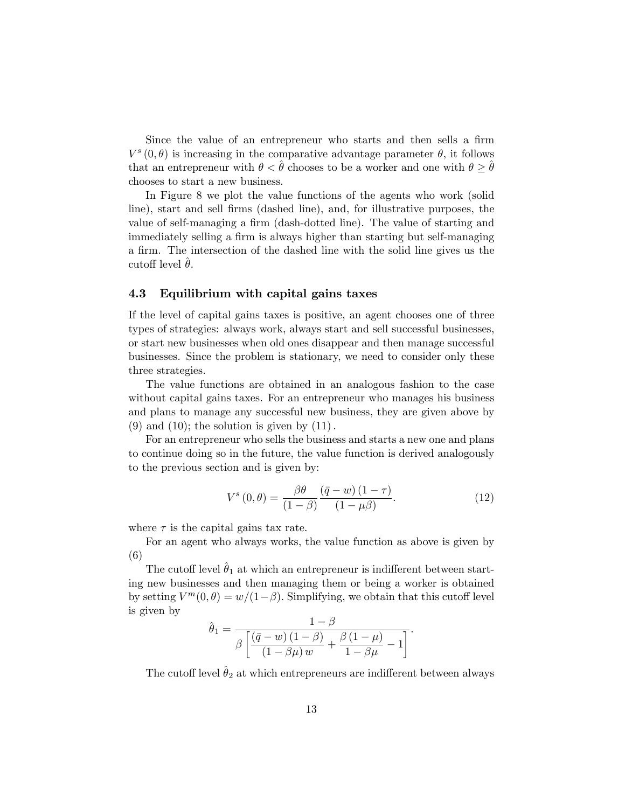Since the value of an entrepreneur who starts and then sells a firm  $V^s(0, \theta)$  is increasing in the comparative advantage parameter  $\theta$ , it follows that an entrepreneur with  $\theta < \hat{\theta}$  chooses to be a worker and one with  $\theta \geq \hat{\theta}$ chooses to start a new business.

In Figure 8 we plot the value functions of the agents who work (solid line), start and sell firms (dashed line), and, for illustrative purposes, the value of self-managing a firm (dash-dotted line). The value of starting and immediately selling a firm is always higher than starting but self-managing a firm. The intersection of the dashed line with the solid line gives us the cutoff level  $\ddot{\theta}$ .

#### 4.3 Equilibrium with capital gains taxes

If the level of capital gains taxes is positive, an agent chooses one of three types of strategies: always work, always start and sell successful businesses, or start new businesses when old ones disappear and then manage successful businesses. Since the problem is stationary, we need to consider only these three strategies.

The value functions are obtained in an analogous fashion to the case without capital gains taxes. For an entrepreneur who manages his business and plans to manage any successful new business, they are given above by  $(9)$  and  $(10)$ ; the solution is given by  $(11)$ .

For an entrepreneur who sells the business and starts a new one and plans to continue doing so in the future, the value function is derived analogously to the previous section and is given by:

$$
V^{s}(0,\theta) = \frac{\beta\theta}{(1-\beta)} \frac{(\bar{q}-w)(1-\tau)}{(1-\mu\beta)}.
$$
\n(12)

where  $\tau$  is the capital gains tax rate.

For an agent who always works, the value function as above is given by (6)

The cutoff level  $\hat{\theta}_1$  at which an entrepreneur is indifferent between starting new businesses and then managing them or being a worker is obtained by setting  $V^m(0, \theta) = w/(1-\beta)$ . Simplifying, we obtain that this cutoff level is given by

$$
\hat{\theta}_1 = \frac{1-\beta}{\beta \left[ \frac{\left(\bar{q} - w\right)\left(1-\beta\right)}{\left(1-\beta\mu\right)w} + \frac{\beta\left(1-\mu\right)}{1-\beta\mu} - 1 \right]}.
$$

The cutoff level  $\hat{\theta}_2$  at which entrepreneurs are indifferent between always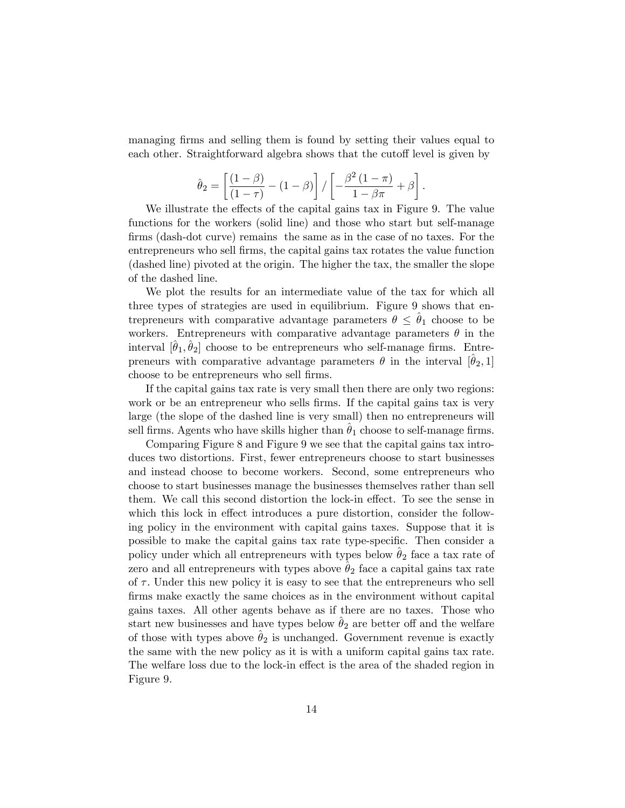managing firms and selling them is found by setting their values equal to each other. Straightforward algebra shows that the cutoff level is given by

$$
\hat{\theta}_2 = \left[ \frac{(1-\beta)}{(1-\tau)} - (1-\beta) \right] / \left[ -\frac{\beta^2 (1-\pi)}{1-\beta \pi} + \beta \right].
$$

We illustrate the effects of the capital gains tax in Figure 9. The value functions for the workers (solid line) and those who start but self-manage firms (dash-dot curve) remains the same as in the case of no taxes. For the entrepreneurs who sell Örms, the capital gains tax rotates the value function (dashed line) pivoted at the origin. The higher the tax, the smaller the slope of the dashed line.

We plot the results for an intermediate value of the tax for which all three types of strategies are used in equilibrium. Figure 9 shows that entrepreneurs with comparative advantage parameters  $\theta \leq \theta_1$  choose to be workers. Entrepreneurs with comparative advantage parameters  $\theta$  in the interval  $[\hat{\theta}_1, \hat{\theta}_2]$  choose to be entrepreneurs who self-manage firms. Entrepreneurs with comparative advantage parameters  $\theta$  in the interval  $[\hat{\theta}_2, 1]$ choose to be entrepreneurs who sell firms.

If the capital gains tax rate is very small then there are only two regions: work or be an entrepreneur who sells firms. If the capital gains tax is very large (the slope of the dashed line is very small) then no entrepreneurs will sell firms. Agents who have skills higher than  $\theta_1$  choose to self-manage firms.

Comparing Figure 8 and Figure 9 we see that the capital gains tax introduces two distortions. First, fewer entrepreneurs choose to start businesses and instead choose to become workers. Second, some entrepreneurs who choose to start businesses manage the businesses themselves rather than sell them. We call this second distortion the lock-in effect. To see the sense in which this lock in effect introduces a pure distortion, consider the following policy in the environment with capital gains taxes. Suppose that it is possible to make the capital gains tax rate type-specific. Then consider a policy under which all entrepreneurs with types below  $\theta_2$  face a tax rate of zero and all entrepreneurs with types above  $\theta_2$  face a capital gains tax rate of  $\tau$ . Under this new policy it is easy to see that the entrepreneurs who sell Örms make exactly the same choices as in the environment without capital gains taxes. All other agents behave as if there are no taxes. Those who start new businesses and have types below  $\theta_2$  are better off and the welfare of those with types above  $\theta_2$  is unchanged. Government revenue is exactly the same with the new policy as it is with a uniform capital gains tax rate. The welfare loss due to the lock-in effect is the area of the shaded region in Figure 9.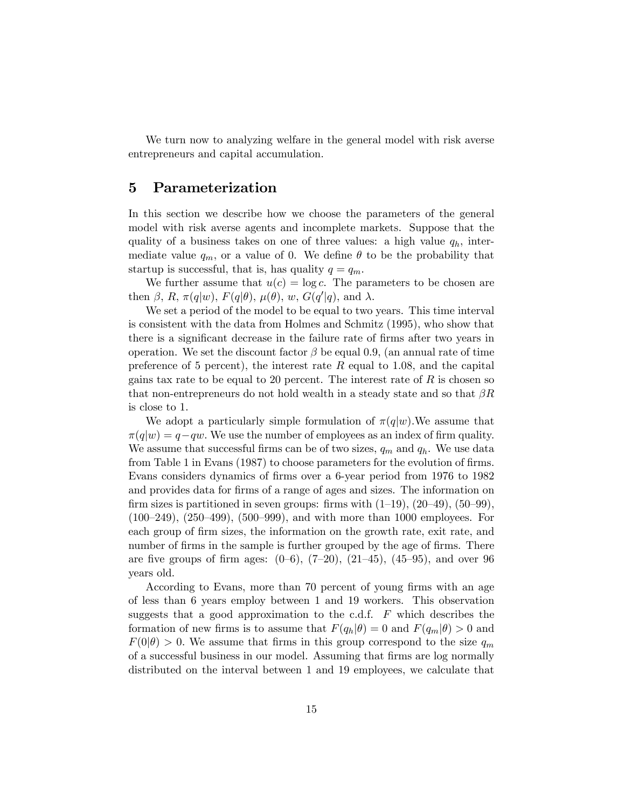We turn now to analyzing welfare in the general model with risk averse entrepreneurs and capital accumulation.

### 5 Parameterization

In this section we describe how we choose the parameters of the general model with risk averse agents and incomplete markets. Suppose that the quality of a business takes on one of three values: a high value  $q_h$ , intermediate value  $q_m$ , or a value of 0. We define  $\theta$  to be the probability that startup is successful, that is, has quality  $q = q_m$ .

We further assume that  $u(c) = \log c$ . The parameters to be chosen are then  $\beta$ , R,  $\pi(q|w)$ ,  $F(q|\theta)$ ,  $\mu(\theta)$ ,  $w$ ,  $G(q'|q)$ , and  $\lambda$ .

We set a period of the model to be equal to two years. This time interval is consistent with the data from Holmes and Schmitz (1995), who show that there is a significant decrease in the failure rate of firms after two years in operation. We set the discount factor  $\beta$  be equal 0.9, (an annual rate of time preference of 5 percent), the interest rate  $R$  equal to 1.08, and the capital gains tax rate to be equal to 20 percent. The interest rate of  $R$  is chosen so that non-entrepreneurs do not hold wealth in a steady state and so that  $\beta R$ is close to 1.

We adopt a particularly simple formulation of  $\pi(q|w)$ . We assume that  $\pi(q|w) = q-qw$ . We use the number of employees as an index of firm quality. We assume that successful firms can be of two sizes,  $q_m$  and  $q_h$ . We use data from Table 1 in Evans (1987) to choose parameters for the evolution of firms. Evans considers dynamics of firms over a 6-year period from 1976 to 1982 and provides data for firms of a range of ages and sizes. The information on firm sizes is partitioned in seven groups: firms with  $(1-19)$ ,  $(20-49)$ ,  $(50-99)$ ,  $(100–249), (250–499), (500–999),$  and with more than 1000 employees. For each group of firm sizes, the information on the growth rate, exit rate, and number of firms in the sample is further grouped by the age of firms. There are five groups of firm ages:  $(0-6)$ ,  $(7-20)$ ,  $(21-45)$ ,  $(45-95)$ , and over 96 years old.

According to Evans, more than 70 percent of young firms with an age of less than 6 years employ between 1 and 19 workers. This observation suggests that a good approximation to the c.d.f.  $\overline{F}$  which describes the formation of new firms is to assume that  $F(q_h|\theta) = 0$  and  $F(q_m|\theta) > 0$  and  $F(0|\theta) > 0$ . We assume that firms in this group correspond to the size  $q_m$ of a successful business in our model. Assuming that firms are log normally distributed on the interval between 1 and 19 employees, we calculate that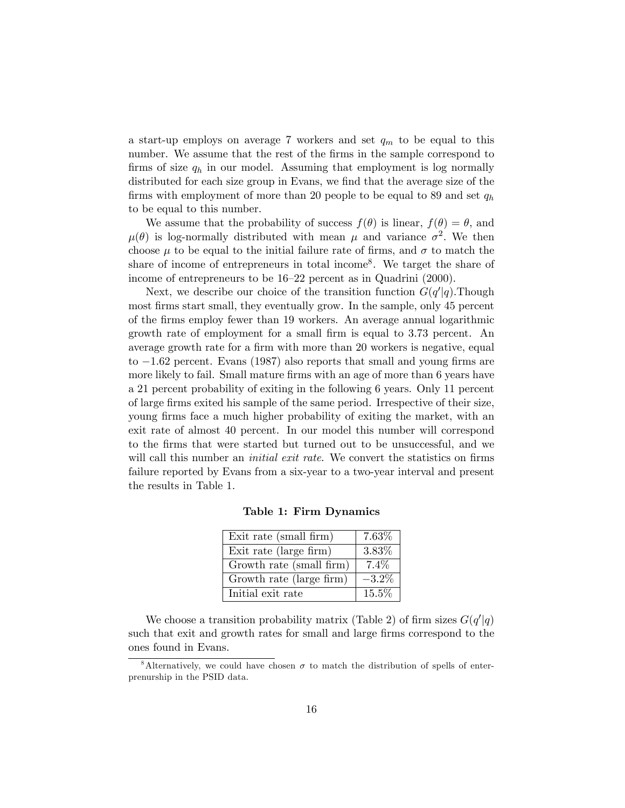a start-up employs on average 7 workers and set  $q_m$  to be equal to this number. We assume that the rest of the firms in the sample correspond to firms of size  $q_h$  in our model. Assuming that employment is log normally distributed for each size group in Evans, we find that the average size of the firms with employment of more than 20 people to be equal to 89 and set  $q_h$ to be equal to this number.

We assume that the probability of success  $f(\theta)$  is linear,  $f(\theta) = \theta$ , and  $\mu(\theta)$  is log-normally distributed with mean  $\mu$  and variance  $\sigma^2$ . We then choose  $\mu$  to be equal to the initial failure rate of firms, and  $\sigma$  to match the share of income of entrepreneurs in total income<sup>8</sup> . We target the share of income of entrepreneurs to be  $16-22$  percent as in Quadrini (2000).

Next, we describe our choice of the transition function  $G(q'|q)$ . Though most firms start small, they eventually grow. In the sample, only 45 percent of the Örms employ fewer than 19 workers. An average annual logarithmic growth rate of employment for a small firm is equal to 3.73 percent. An average growth rate for a firm with more than 20 workers is negative, equal to  $-1.62$  percent. Evans (1987) also reports that small and young firms are more likely to fail. Small mature firms with an age of more than 6 years have a 21 percent probability of exiting in the following 6 years. Only 11 percent of large Örms exited his sample of the same period. Irrespective of their size, young firms face a much higher probability of exiting the market, with an exit rate of almost 40 percent. In our model this number will correspond to the Örms that were started but turned out to be unsuccessful, and we will call this number an *initial exit rate*. We convert the statistics on firms failure reported by Evans from a six-year to a two-year interval and present the results in Table 1.

| Exit rate (small firm)   | 7.63%    |
|--------------------------|----------|
| Exit rate (large firm)   | 3.83%    |
| Growth rate (small firm) | $7.4\%$  |
| Growth rate (large firm) | $-3.2\%$ |
| Initial exit rate        | 15.5%    |

Table 1: Firm Dynamics

We choose a transition probability matrix (Table 2) of firm sizes  $G(q'|q)$ such that exit and growth rates for small and large firms correspond to the ones found in Evans.

<sup>&</sup>lt;sup>8</sup>Alternatively, we could have chosen  $\sigma$  to match the distribution of spells of enterprenurship in the PSID data.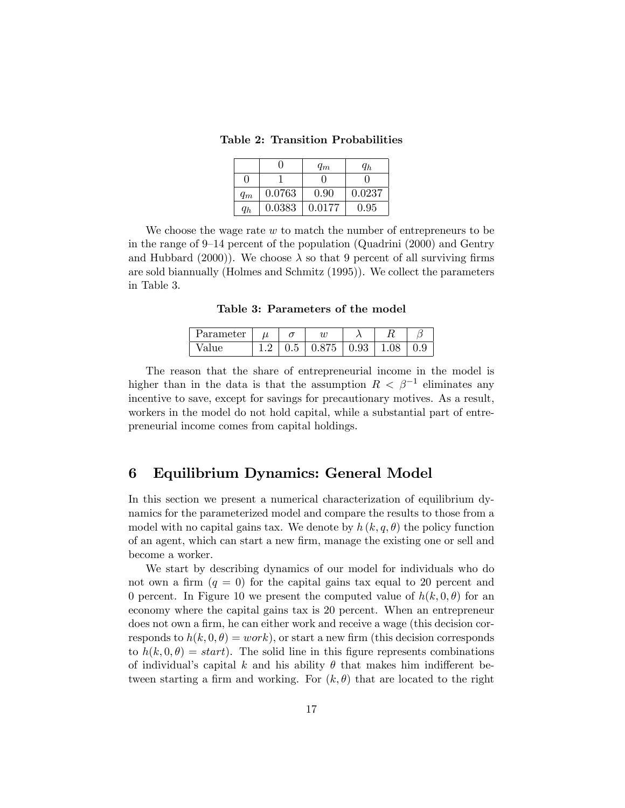Table 2: Transition Probabilities

|       |        | $q_m$  | $q_h$  |
|-------|--------|--------|--------|
| 0     |        |        |        |
| $q_m$ | 0.0763 | 0.90   | 0.0237 |
| $q_h$ | 0.0383 | 0.0177 | 0.95   |

We choose the wage rate  $w$  to match the number of entrepreneurs to be in the range of 9–14 percent of the population (Quadrini  $(2000)$ ) and Gentry and Hubbard (2000)). We choose  $\lambda$  so that 9 percent of all surviving firms are sold biannually (Holmes and Schmitz (1995)). We collect the parameters in Table 3.

Table 3: Parameters of the model

| Parameter |  |       |                       |  |
|-----------|--|-------|-----------------------|--|
| Value     |  | 0.875 | $0.93 \mid 1.08 \mid$ |  |

The reason that the share of entrepreneurial income in the model is higher than in the data is that the assumption  $R < \beta^{-1}$  eliminates any incentive to save, except for savings for precautionary motives. As a result, workers in the model do not hold capital, while a substantial part of entrepreneurial income comes from capital holdings.

## 6 Equilibrium Dynamics: General Model

In this section we present a numerical characterization of equilibrium dynamics for the parameterized model and compare the results to those from a model with no capital gains tax. We denote by  $h(k, q, \theta)$  the policy function of an agent, which can start a new Örm, manage the existing one or sell and become a worker.

We start by describing dynamics of our model for individuals who do not own a firm  $(q = 0)$  for the capital gains tax equal to 20 percent and 0 percent. In Figure 10 we present the computed value of  $h(k, 0, \theta)$  for an economy where the capital gains tax is 20 percent. When an entrepreneur does not own a firm, he can either work and receive a wage (this decision corresponds to  $h(k, 0, \theta) = work$ , or start a new firm (this decision corresponds to  $h(k, 0, \theta) = start$ . The solid line in this figure represents combinations of individual's capital k and his ability  $\theta$  that makes him indifferent between starting a firm and working. For  $(k, \theta)$  that are located to the right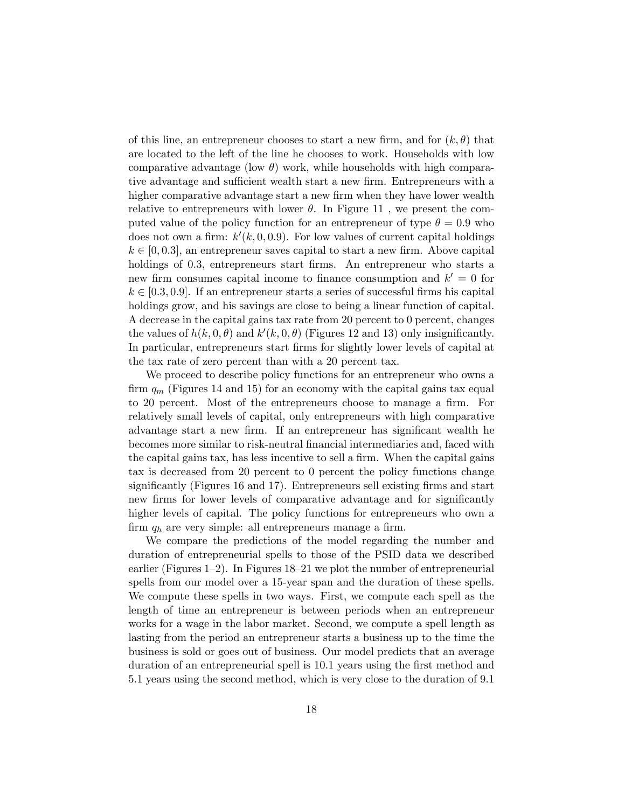of this line, an entrepreneur chooses to start a new firm, and for  $(k, \theta)$  that are located to the left of the line he chooses to work. Households with low comparative advantage (low  $\theta$ ) work, while households with high comparative advantage and sufficient wealth start a new firm. Entrepreneurs with a higher comparative advantage start a new firm when they have lower wealth relative to entrepreneurs with lower  $\theta$ . In Figure 11, we present the computed value of the policy function for an entrepreneur of type  $\theta = 0.9$  who does not own a firm:  $k'(k, 0, 0.9)$ . For low values of current capital holdings  $k \in [0, 0.3]$ , an entrepreneur saves capital to start a new firm. Above capital holdings of 0.3, entrepreneurs start firms. An entrepreneur who starts a new firm consumes capital income to finance consumption and  $k' = 0$  for  $k \in [0.3, 0.9]$ . If an entrepreneur starts a series of successful firms his capital holdings grow, and his savings are close to being a linear function of capital. A decrease in the capital gains tax rate from 20 percent to 0 percent, changes the values of  $h(k,0,\theta)$  and  $k'(k,0,\theta)$  (Figures 12 and 13) only insignificantly. In particular, entrepreneurs start firms for slightly lower levels of capital at the tax rate of zero percent than with a 20 percent tax.

We proceed to describe policy functions for an entrepreneur who owns a firm  $q_m$  (Figures 14 and 15) for an economy with the capital gains tax equal to 20 percent. Most of the entrepreneurs choose to manage a firm. For relatively small levels of capital, only entrepreneurs with high comparative advantage start a new firm. If an entrepreneur has significant wealth he becomes more similar to risk-neutral Önancial intermediaries and, faced with the capital gains tax, has less incentive to sell a firm. When the capital gains tax is decreased from 20 percent to 0 percent the policy functions change significantly (Figures 16 and 17). Entrepreneurs sell existing firms and start new firms for lower levels of comparative advantage and for significantly higher levels of capital. The policy functions for entrepreneurs who own a firm  $q_h$  are very simple: all entrepreneurs manage a firm.

We compare the predictions of the model regarding the number and duration of entrepreneurial spells to those of the PSID data we described earlier (Figures  $1-2$ ). In Figures  $18-21$  we plot the number of entrepreneurial spells from our model over a 15-year span and the duration of these spells. We compute these spells in two ways. First, we compute each spell as the length of time an entrepreneur is between periods when an entrepreneur works for a wage in the labor market. Second, we compute a spell length as lasting from the period an entrepreneur starts a business up to the time the business is sold or goes out of business. Our model predicts that an average duration of an entrepreneurial spell is 10.1 years using the first method and 5.1 years using the second method, which is very close to the duration of 9.1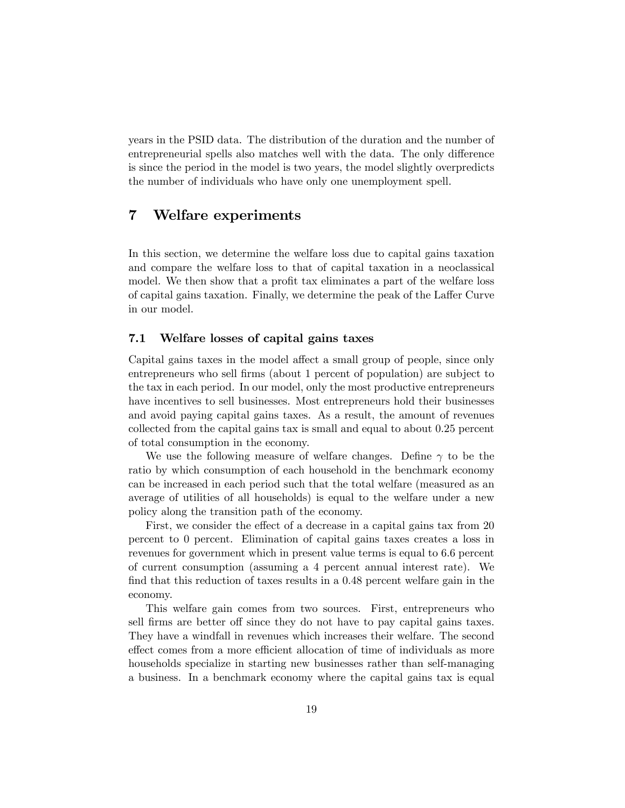years in the PSID data. The distribution of the duration and the number of entrepreneurial spells also matches well with the data. The only difference is since the period in the model is two years, the model slightly overpredicts the number of individuals who have only one unemployment spell.

## 7 Welfare experiments

In this section, we determine the welfare loss due to capital gains taxation and compare the welfare loss to that of capital taxation in a neoclassical model. We then show that a profit tax eliminates a part of the welfare loss of capital gains taxation. Finally, we determine the peak of the Laffer Curve in our model.

#### 7.1 Welfare losses of capital gains taxes

Capital gains taxes in the model affect a small group of people, since only entrepreneurs who sell firms (about 1 percent of population) are subject to the tax in each period. In our model, only the most productive entrepreneurs have incentives to sell businesses. Most entrepreneurs hold their businesses and avoid paying capital gains taxes. As a result, the amount of revenues collected from the capital gains tax is small and equal to about 0.25 percent of total consumption in the economy.

We use the following measure of welfare changes. Define  $\gamma$  to be the ratio by which consumption of each household in the benchmark economy can be increased in each period such that the total welfare (measured as an average of utilities of all households) is equal to the welfare under a new policy along the transition path of the economy.

First, we consider the effect of a decrease in a capital gains tax from 20 percent to 0 percent. Elimination of capital gains taxes creates a loss in revenues for government which in present value terms is equal to 6.6 percent of current consumption (assuming a 4 percent annual interest rate). We find that this reduction of taxes results in a  $0.48$  percent welfare gain in the economy.

This welfare gain comes from two sources. First, entrepreneurs who sell firms are better off since they do not have to pay capital gains taxes. They have a windfall in revenues which increases their welfare. The second effect comes from a more efficient allocation of time of individuals as more households specialize in starting new businesses rather than self-managing a business. In a benchmark economy where the capital gains tax is equal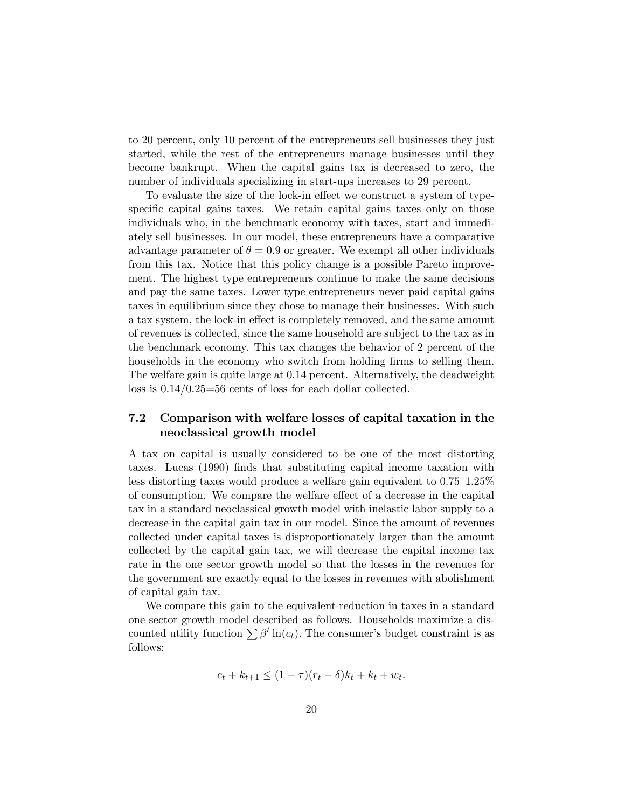to 20 percent, only 10 percent of the entrepreneurs sell businesses they just started, while the rest of the entrepreneurs manage businesses until they become bankrupt. When the capital gains tax is decreased to zero, the number of individuals specializing in start-ups increases to 29 percent.

To evaluate the size of the lock-in effect we construct a system of typespecific capital gains taxes. We retain capital gains taxes only on those individuals who, in the benchmark economy with taxes, start and immediately sell businesses. In our model, these entrepreneurs have a comparative advantage parameter of  $\theta = 0.9$  or greater. We exempt all other individuals from this tax. Notice that this policy change is a possible Pareto improvement. The highest type entrepreneurs continue to make the same decisions and pay the same taxes. Lower type entrepreneurs never paid capital gains taxes in equilibrium since they chose to manage their businesses. With such a tax system, the lock-in effect is completely removed, and the same amount of revenues is collected, since the same household are subject to the tax as in the benchmark economy. This tax changes the behavior of 2 percent of the households in the economy who switch from holding firms to selling them. The welfare gain is quite large at 0.14 percent. Alternatively, the deadweight loss is 0.14/0.25=56 cents of loss for each dollar collected.

#### 7.2 Comparison with welfare losses of capital taxation in the neoclassical growth model

A tax on capital is usually considered to be one of the most distorting taxes. Lucas (1990) Önds that substituting capital income taxation with less distorting taxes would produce a welfare gain equivalent to  $0.75-1.25\%$ of consumption. We compare the welfare effect of a decrease in the capital tax in a standard neoclassical growth model with inelastic labor supply to a decrease in the capital gain tax in our model. Since the amount of revenues collected under capital taxes is disproportionately larger than the amount collected by the capital gain tax, we will decrease the capital income tax rate in the one sector growth model so that the losses in the revenues for the government are exactly equal to the losses in revenues with abolishment of capital gain tax.

We compare this gain to the equivalent reduction in taxes in a standard one sector growth model described as follows. Households maximize a discounted utility function  $\sum \beta^t \ln(c_t)$ . The consumer's budget constraint is as follows:

$$
c_t + k_{t+1} \le (1 - \tau)(r_t - \delta)k_t + k_t + w_t.
$$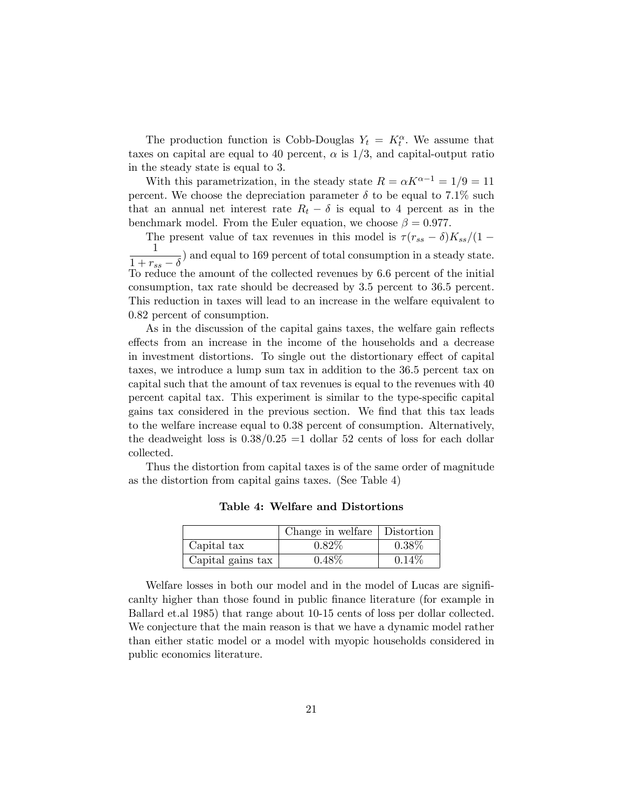The production function is Cobb-Douglas  $Y_t = K_t^{\alpha}$ . We assume that taxes on capital are equal to 40 percent,  $\alpha$  is  $1/3$ , and capital-output ratio in the steady state is equal to 3.

With this parametrization, in the steady state  $R = \alpha K^{\alpha - 1} = 1/9 = 11$ percent. We choose the depreciation parameter  $\delta$  to be equal to 7.1% such that an annual net interest rate  $R_t - \delta$  is equal to 4 percent as in the benchmark model. From the Euler equation, we choose  $\beta = 0.977$ .

The present value of tax revenues in this model is  $\tau (r_{ss} - \delta)K_{ss}/(1 - \frac{1}{\sqrt{3}})$ 1  $\frac{1}{1 + r_{ss} - \delta}$  and equal to 169 percent of total consumption in a steady state. To reduce the amount of the collected revenues by 6.6 percent of the initial consumption, tax rate should be decreased by 3.5 percent to 36.5 percent. This reduction in taxes will lead to an increase in the welfare equivalent to 0.82 percent of consumption.

As in the discussion of the capital gains taxes, the welfare gain reflects effects from an increase in the income of the households and a decrease in investment distortions. To single out the distortionary effect of capital taxes, we introduce a lump sum tax in addition to the 36.5 percent tax on capital such that the amount of tax revenues is equal to the revenues with 40 percent capital tax. This experiment is similar to the type-specific capital gains tax considered in the previous section. We find that this tax leads to the welfare increase equal to 0.38 percent of consumption. Alternatively, the deadweight loss is  $0.38/0.25 = 1$  dollar 52 cents of loss for each dollar collected.

Thus the distortion from capital taxes is of the same order of magnitude as the distortion from capital gains taxes. (See Table 4)

|                   | Change in welfare   Distortion |          |
|-------------------|--------------------------------|----------|
| Capital tax       | $0.82\%$                       | $0.38\%$ |
| Capital gains tax | $0.48\%$                       | 0.14%    |

Table 4: Welfare and Distortions

Welfare losses in both our model and in the model of Lucas are significanlty higher than those found in public finance literature (for example in Ballard et.al 1985) that range about 10-15 cents of loss per dollar collected. We conjecture that the main reason is that we have a dynamic model rather than either static model or a model with myopic households considered in public economics literature.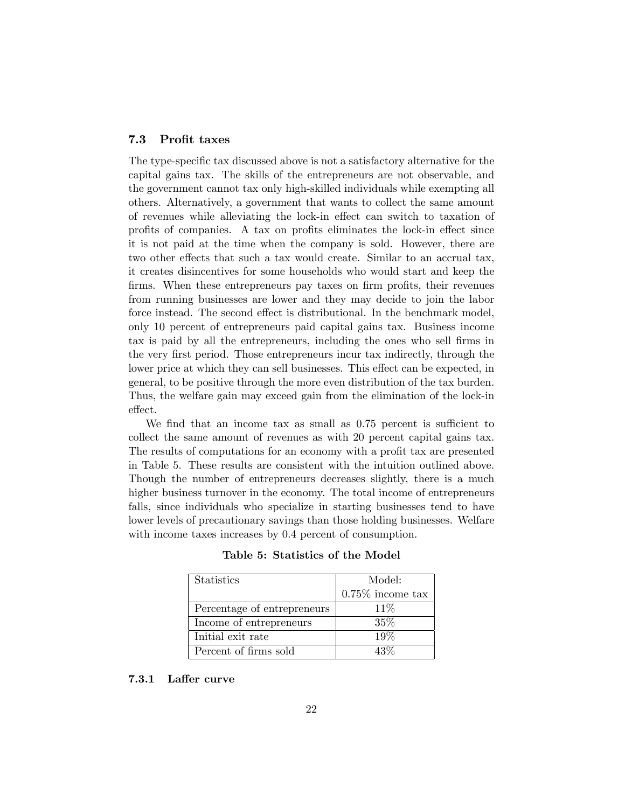#### 7.3 Profit taxes

The type-specific tax discussed above is not a satisfactory alternative for the capital gains tax. The skills of the entrepreneurs are not observable, and the government cannot tax only high-skilled individuals while exempting all others. Alternatively, a government that wants to collect the same amount of revenues while alleviating the lock-in effect can switch to taxation of profits of companies. A tax on profits eliminates the lock-in effect since it is not paid at the time when the company is sold. However, there are two other effects that such a tax would create. Similar to an accrual tax, it creates disincentives for some households who would start and keep the firms. When these entrepreneurs pay taxes on firm profits, their revenues from running businesses are lower and they may decide to join the labor force instead. The second effect is distributional. In the benchmark model, only 10 percent of entrepreneurs paid capital gains tax. Business income tax is paid by all the entrepreneurs, including the ones who sell firms in the very Örst period. Those entrepreneurs incur tax indirectly, through the lower price at which they can sell businesses. This effect can be expected, in general, to be positive through the more even distribution of the tax burden. Thus, the welfare gain may exceed gain from the elimination of the lock-in effect.

We find that an income tax as small as 0.75 percent is sufficient to collect the same amount of revenues as with 20 percent capital gains tax. The results of computations for an economy with a profit tax are presented in Table 5. These results are consistent with the intuition outlined above. Though the number of entrepreneurs decreases slightly, there is a much higher business turnover in the economy. The total income of entrepreneurs falls, since individuals who specialize in starting businesses tend to have lower levels of precautionary savings than those holding businesses. Welfare with income taxes increases by 0.4 percent of consumption.

| <b>Statistics</b>           | Model:              |
|-----------------------------|---------------------|
|                             | $0.75\%$ income tax |
| Percentage of entrepreneurs | $11\%$              |
| Income of entrepreneurs     | $35\%$              |
| Initial exit rate           | 19%                 |
| Percent of firms sold       | $43\%$              |

Table 5: Statistics of the Model

#### 7.3.1 Laffer curve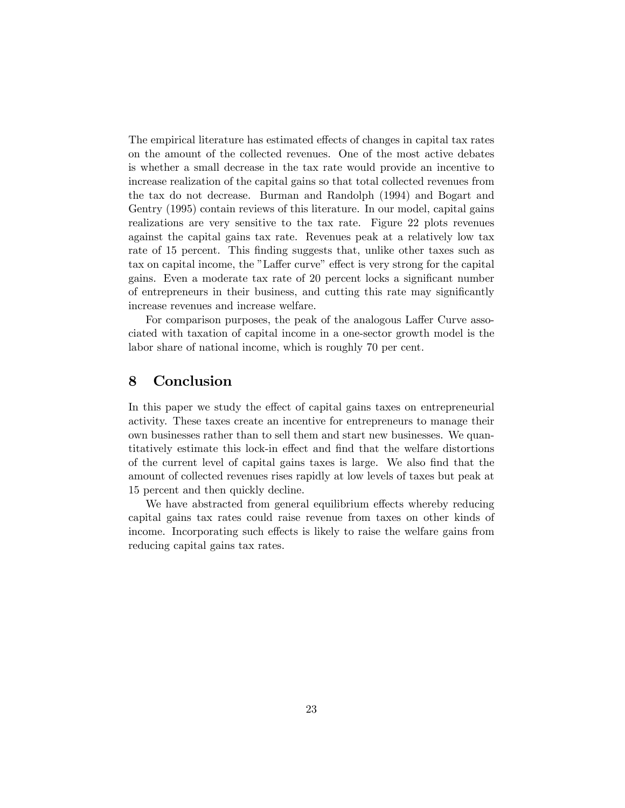The empirical literature has estimated effects of changes in capital tax rates on the amount of the collected revenues. One of the most active debates is whether a small decrease in the tax rate would provide an incentive to increase realization of the capital gains so that total collected revenues from the tax do not decrease. Burman and Randolph (1994) and Bogart and Gentry (1995) contain reviews of this literature. In our model, capital gains realizations are very sensitive to the tax rate. Figure 22 plots revenues against the capital gains tax rate. Revenues peak at a relatively low tax rate of 15 percent. This finding suggests that, unlike other taxes such as tax on capital income, the "Laffer curve" effect is very strong for the capital gains. Even a moderate tax rate of 20 percent locks a significant number of entrepreneurs in their business, and cutting this rate may significantly increase revenues and increase welfare.

For comparison purposes, the peak of the analogous Laffer Curve associated with taxation of capital income in a one-sector growth model is the labor share of national income, which is roughly 70 per cent.

## 8 Conclusion

In this paper we study the effect of capital gains taxes on entrepreneurial activity. These taxes create an incentive for entrepreneurs to manage their own businesses rather than to sell them and start new businesses. We quantitatively estimate this lock-in effect and find that the welfare distortions of the current level of capital gains taxes is large. We also Önd that the amount of collected revenues rises rapidly at low levels of taxes but peak at 15 percent and then quickly decline.

We have abstracted from general equilibrium effects whereby reducing capital gains tax rates could raise revenue from taxes on other kinds of income. Incorporating such effects is likely to raise the welfare gains from reducing capital gains tax rates.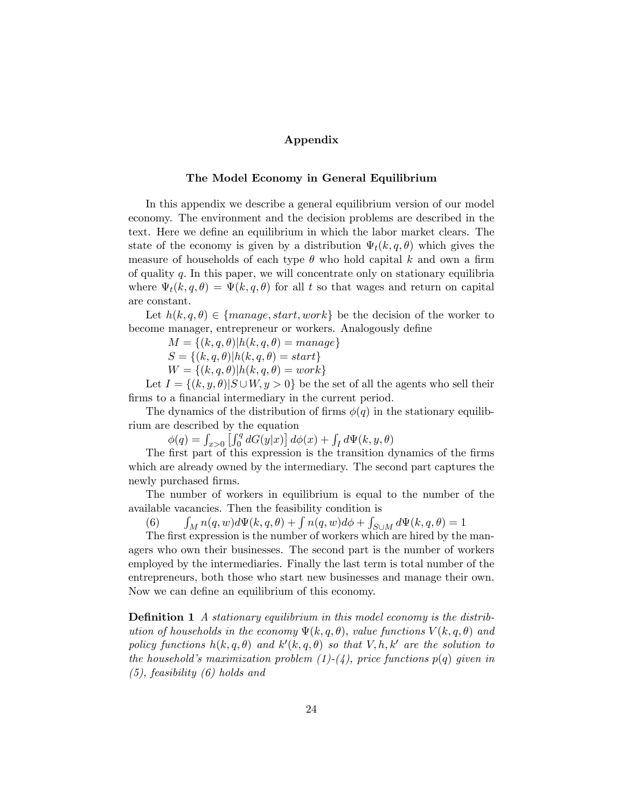#### Appendix

#### The Model Economy in General Equilibrium

In this appendix we describe a general equilibrium version of our model economy. The environment and the decision problems are described in the text. Here we define an equilibrium in which the labor market clears. The state of the economy is given by a distribution  $\Psi_t(k, q, \theta)$  which gives the measure of households of each type  $\theta$  who hold capital k and own a firm of quality  $q$ . In this paper, we will concentrate only on stationary equilibria where  $\Psi_t(k, q, \theta) = \Psi(k, q, \theta)$  for all t so that wages and return on capital are constant.

Let  $h(k, q, \theta) \in \{r, start, work\}$  be the decision of the worker to become manager, entrepreneur or workers. Analogously define

 $M = \{(k, q, \theta) | h(k, q, \theta) = manage\}$ 

 $S = \{(k, q, \theta) | h(k, q, \theta) = start\}$ 

 $W = \{(k, q, \theta) | h(k, q, \theta) = work\}$ 

Let  $I = \{(k, y, \theta) | S \cup W, y > 0\}$  be the set of all the agents who sell their firms to a financial intermediary in the current period.

The dynamics of the distribution of firms  $\phi(q)$  in the stationary equilibrium are described by the equation

 $\phi(q) = \int_{x>0} \left[ \int_0^q dG(y|x) \right] d\phi(x) + \int_I d\Psi(k, y, \theta)$ 

The first part of this expression is the transition dynamics of the firms which are already owned by the intermediary. The second part captures the newly purchased firms.

The number of workers in equilibrium is equal to the number of the available vacancies. Then the feasibility condition is

 $(6)$  $\int_M n(q, w) d\Psi(k, q, \theta) + \int n(q, w) d\phi + \int_{S \cup M} d\Psi(k, q, \theta) = 1$ 

The first expression is the number of workers which are hired by the managers who own their businesses. The second part is the number of workers employed by the intermediaries. Finally the last term is total number of the entrepreneurs, both those who start new businesses and manage their own. Now we can define an equilibrium of this economy.

**Definition 1** A stationary equilibrium in this model economy is the distribution of households in the economy  $\Psi(k, q, \theta)$ , value functions  $V(k, q, \theta)$  and policy functions  $h(k, q, \theta)$  and  $k'(k, q, \theta)$  so that  $V, h, k'$  are the solution to the household's maximization problem  $(1)-(4)$ , price functions  $p(q)$  given in (5), feasibility (6) holds and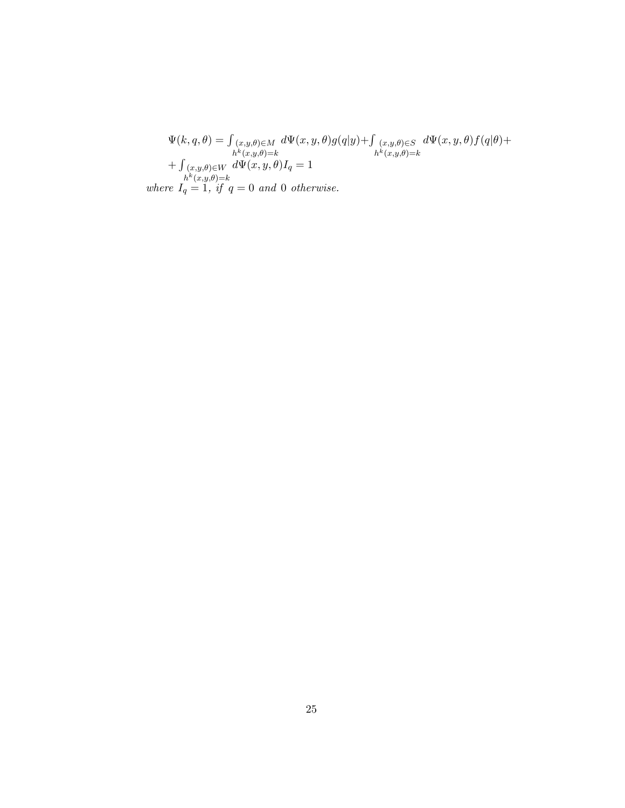$$
\Psi(k,q,\theta) = \int_{\substack{(x,y,\theta) \in M \\ h^k(x,y,\theta)=k}} d\Psi(x,y,\theta) g(q|y) + \int_{\substack{(x,y,\theta) \in S \\ h^k(x,y,\theta)=k}} d\Psi(x,y,\theta) f(q|\theta) +
$$
  
+  $\int_{\substack{(x,y,\theta) \in W \\ h^k(x,y,\theta)=k}} d\Psi(x,y,\theta) I_q = 1$   
where  $I_q = 1$ , if  $q = 0$  and 0 otherwise.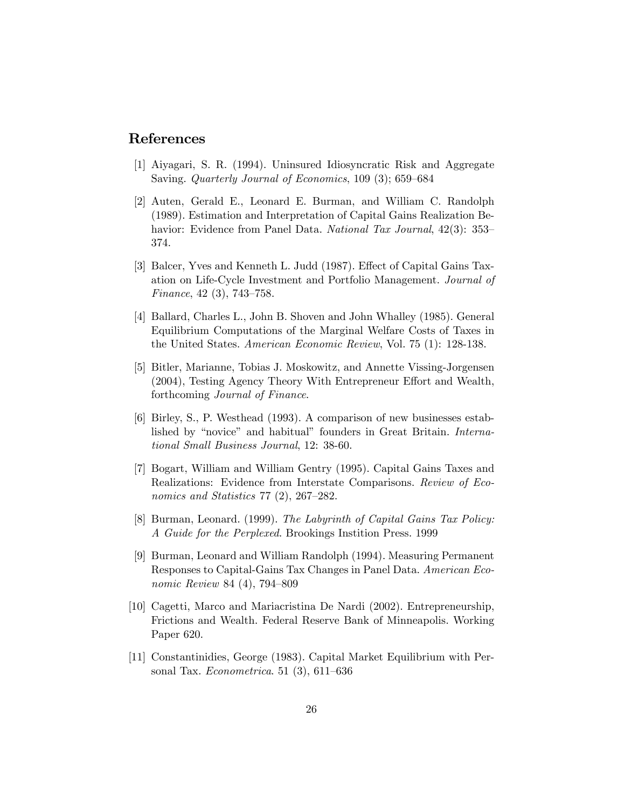## References

- [1] Aiyagari, S. R. (1994). Uninsured Idiosyncratic Risk and Aggregate Saving. Quarterly Journal of Economics, 109 (3); 659–684
- [2] Auten, Gerald E., Leonard E. Burman, and William C. Randolph (1989). Estimation and Interpretation of Capital Gains Realization Behavior: Evidence from Panel Data. National Tax Journal, 42(3): 353-374.
- [3] Balcer, Yves and Kenneth L. Judd (1987). Effect of Capital Gains Taxation on Life-Cycle Investment and Portfolio Management. Journal of Finance,  $42(3)$ ,  $743-758$ .
- [4] Ballard, Charles L., John B. Shoven and John Whalley (1985). General Equilibrium Computations of the Marginal Welfare Costs of Taxes in the United States. American Economic Review, Vol. 75 (1): 128-138.
- [5] Bitler, Marianne, Tobias J. Moskowitz, and Annette Vissing-Jorgensen  $(2004)$ , Testing Agency Theory With Entrepreneur Effort and Wealth, forthcoming Journal of Finance.
- [6] Birley, S., P. Westhead (1993). A comparison of new businesses established by "novice" and habitual" founders in Great Britain. International Small Business Journal, 12: 38-60.
- [7] Bogart, William and William Gentry (1995). Capital Gains Taxes and Realizations: Evidence from Interstate Comparisons. Review of Economics and Statistics  $77$   $(2)$ ,  $267-282$ .
- [8] Burman, Leonard. (1999). The Labyrinth of Capital Gains Tax Policy: A Guide for the Perplexed. Brookings Instition Press. 1999
- [9] Burman, Leonard and William Randolph (1994). Measuring Permanent Responses to Capital-Gains Tax Changes in Panel Data. American Economic Review 84 (4), 794-809
- [10] Cagetti, Marco and Mariacristina De Nardi (2002). Entrepreneurship, Frictions and Wealth. Federal Reserve Bank of Minneapolis. Working Paper 620.
- [11] Constantinidies, George (1983). Capital Market Equilibrium with Personal Tax. *Econometrica*. 51 $(3)$ , 611–636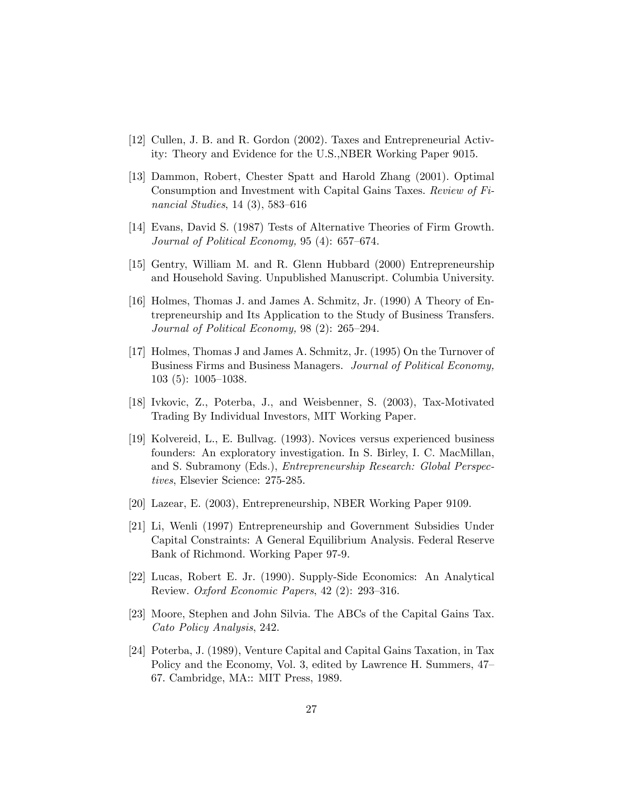- [12] Cullen, J. B. and R. Gordon (2002). Taxes and Entrepreneurial Activity: Theory and Evidence for the U.S.,NBER Working Paper 9015.
- [13] Dammon, Robert, Chester Spatt and Harold Zhang (2001). Optimal Consumption and Investment with Capital Gains Taxes. Review of Financial Studies,  $14(3)$ , 583–616
- [14] Evans, David S. (1987) Tests of Alternative Theories of Firm Growth. Journal of Political Economy, 95 (4):  $657-674$ .
- [15] Gentry, William M. and R. Glenn Hubbard (2000) Entrepreneurship and Household Saving. Unpublished Manuscript. Columbia University.
- [16] Holmes, Thomas J. and James A. Schmitz, Jr. (1990) A Theory of Entrepreneurship and Its Application to the Study of Business Transfers. Journal of Political Economy,  $98$  (2):  $265-294$ .
- [17] Holmes, Thomas J and James A. Schmitz, Jr. (1995) On the Turnover of Business Firms and Business Managers. Journal of Political Economy,  $103$  (5):  $1005-1038$ .
- [18] Ivkovic, Z., Poterba, J., and Weisbenner, S. (2003), Tax-Motivated Trading By Individual Investors, MIT Working Paper.
- [19] Kolvereid, L., E. Bullvag. (1993). Novices versus experienced business founders: An exploratory investigation. In S. Birley, I. C. MacMillan, and S. Subramony (Eds.), Entrepreneurship Research: Global Perspectives, Elsevier Science: 275-285.
- [20] Lazear, E. (2003), Entrepreneurship, NBER Working Paper 9109.
- [21] Li, Wenli (1997) Entrepreneurship and Government Subsidies Under Capital Constraints: A General Equilibrium Analysis. Federal Reserve Bank of Richmond. Working Paper 97-9.
- [22] Lucas, Robert E. Jr. (1990). Supply-Side Economics: An Analytical Review. Oxford Economic Papers,  $42$  (2): 293-316.
- [23] Moore, Stephen and John Silvia. The ABCs of the Capital Gains Tax. Cato Policy Analysis, 242.
- [24] Poterba, J. (1989), Venture Capital and Capital Gains Taxation, in Tax Policy and the Economy, Vol. 3, edited by Lawrence H. Summers,  $47$ <sup>-</sup> 67. Cambridge, MA:: MIT Press, 1989.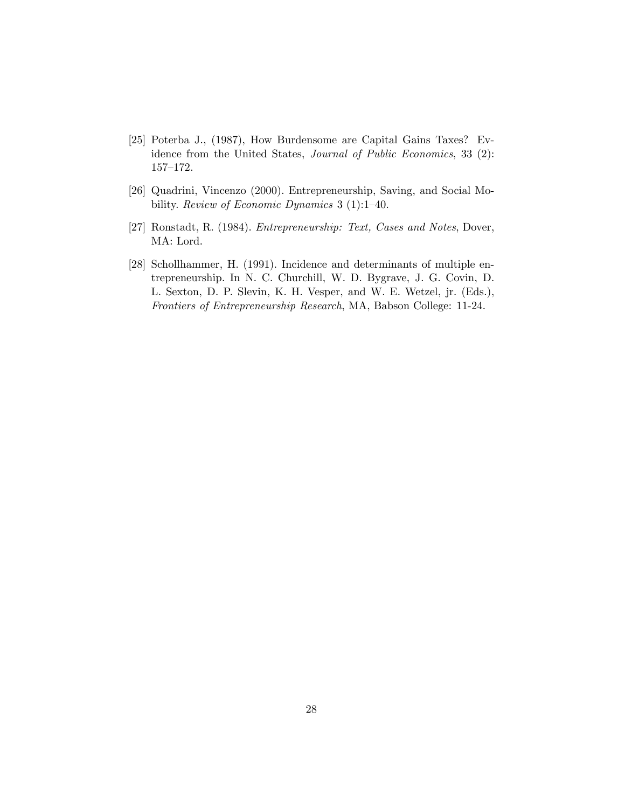- [25] Poterba J., (1987), How Burdensome are Capital Gains Taxes? Evidence from the United States, Journal of Public Economics, 33 (2):  $157 - 172.$
- [26] Quadrini, Vincenzo (2000). Entrepreneurship, Saving, and Social Mobility. Review of Economic Dynamics  $3(1)$ :1-40.
- [27] Ronstadt, R. (1984). Entrepreneurship: Text, Cases and Notes, Dover, MA: Lord.
- [28] Schollhammer, H. (1991). Incidence and determinants of multiple entrepreneurship. In N. C. Churchill, W. D. Bygrave, J. G. Covin, D. L. Sexton, D. P. Slevin, K. H. Vesper, and W. E. Wetzel, jr. (Eds.), Frontiers of Entrepreneurship Research, MA, Babson College: 11-24.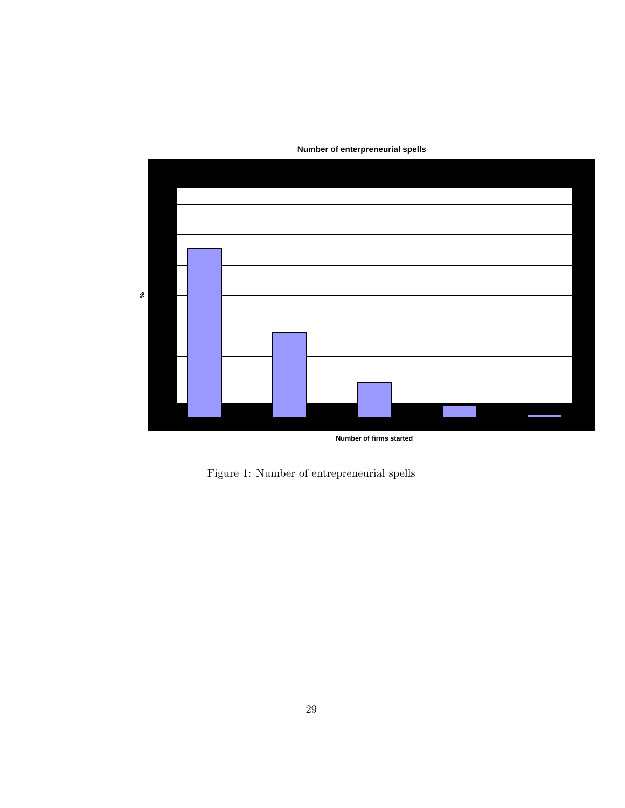

**Number of enterpreneurial spells**

Figure 1: Number of entrepreneurial spells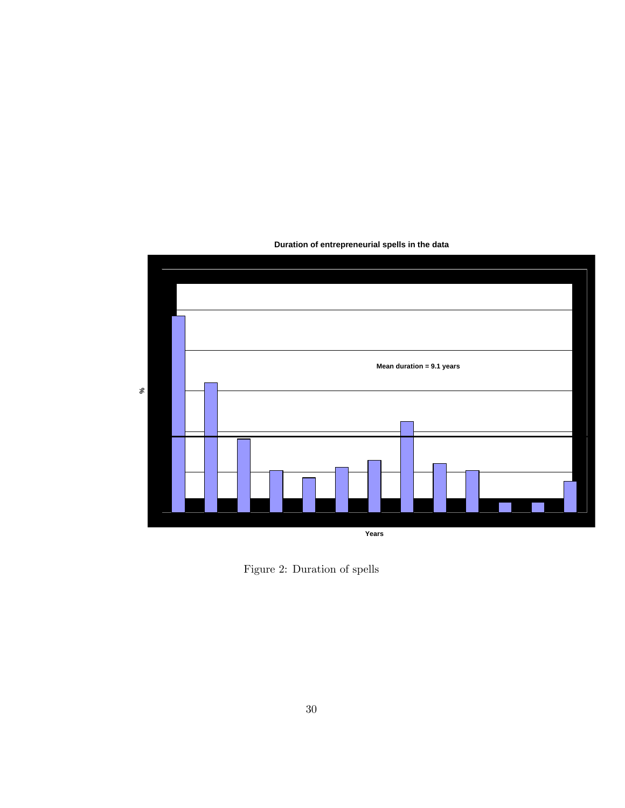

**Duration of entrepreneurial spells in the data**

Figure 2: Duration of spells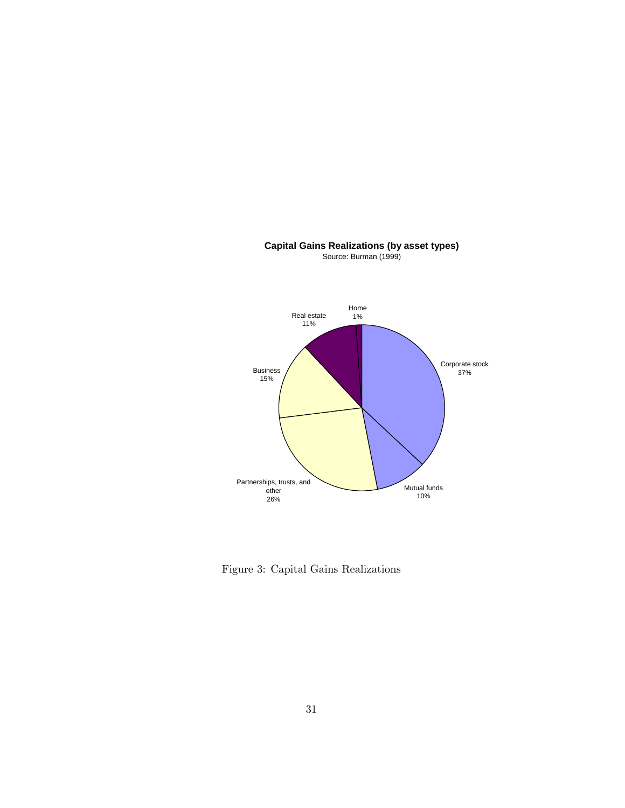

**Capital Gains Realizations (by asset types)** Source: Burman (1999)

Figure 3: Capital Gains Realizations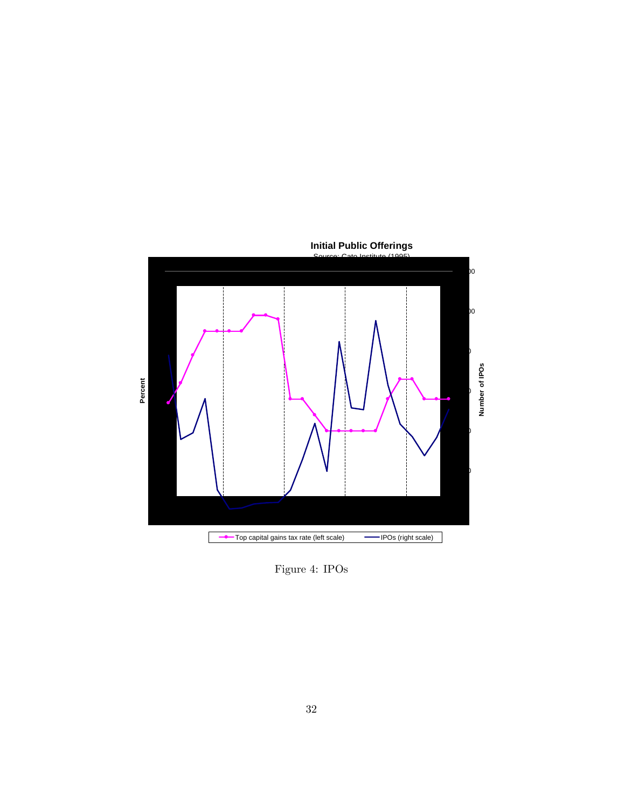

Figure 4: IPOs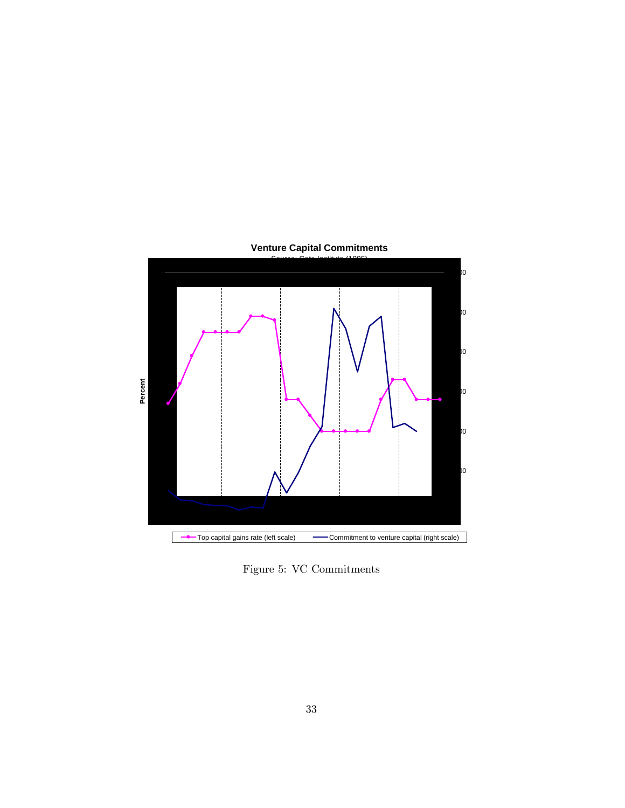

**Venture Capital Commitments**

Figure 5: VC Commitments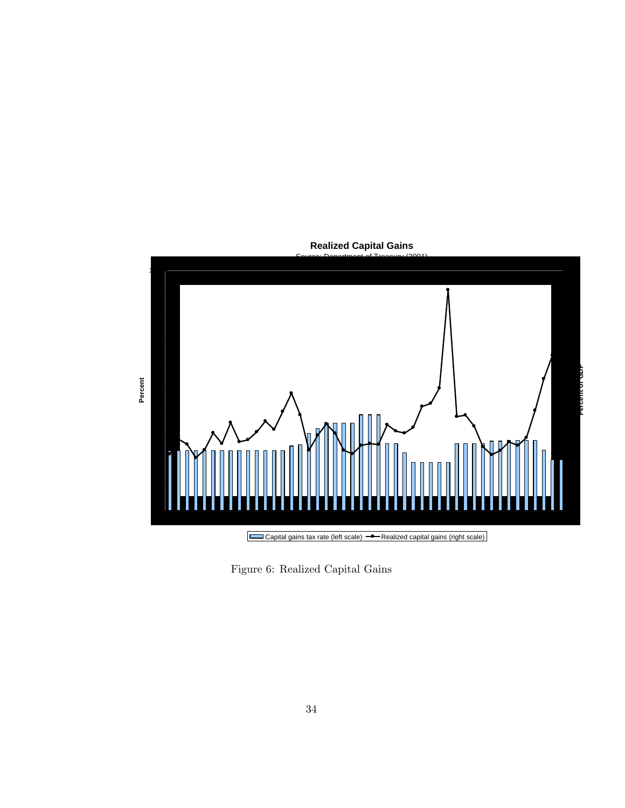

**Realized Capital Gains**

Figure 6: Realized Capital Gains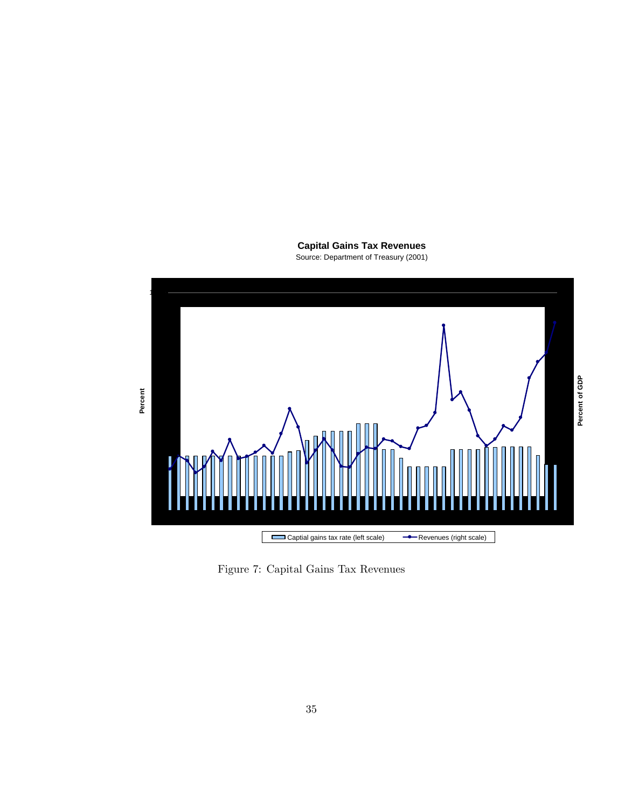**Capital Gains Tax Revenues** Source: Department of Treasury (2001)



Figure 7: Capital Gains Tax Revenues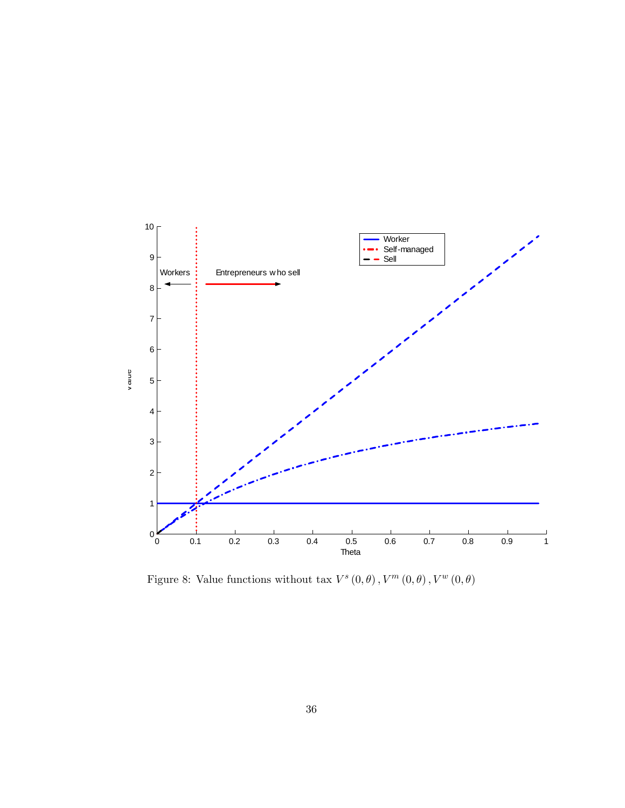

Figure 8: Value functions without tax  $V^s(0, \theta)$ ,  $V^m(0, \theta)$ ,  $V^w(0, \theta)$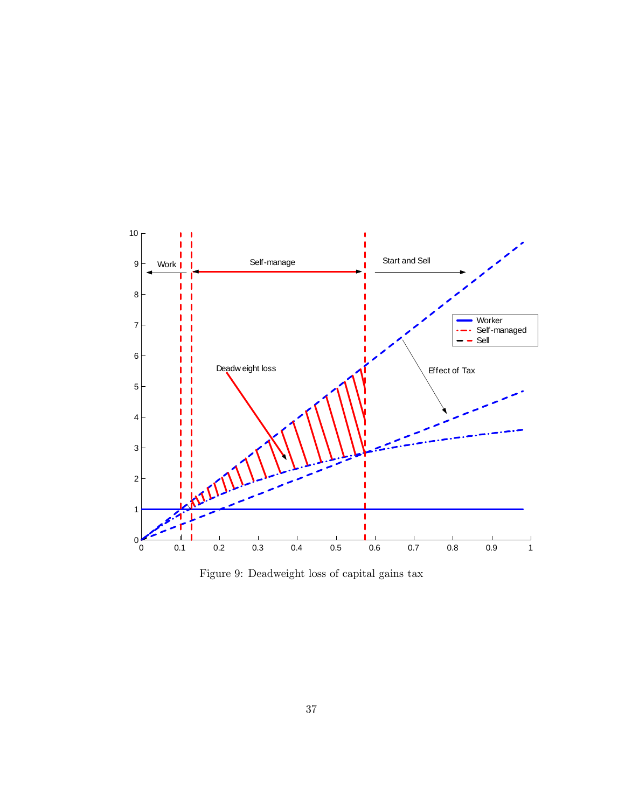

Figure 9: Deadweight loss of capital gains tax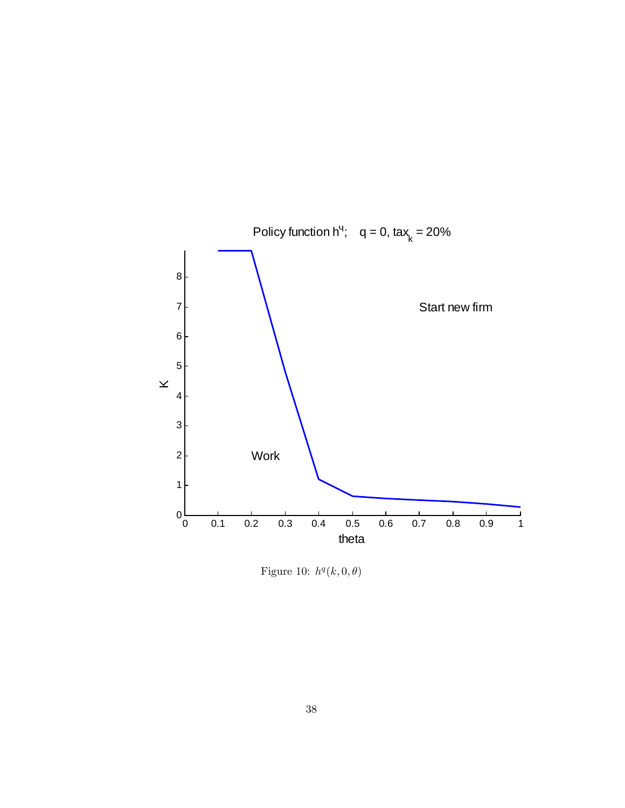

Figure 10:  $h^q(k,0,\theta)$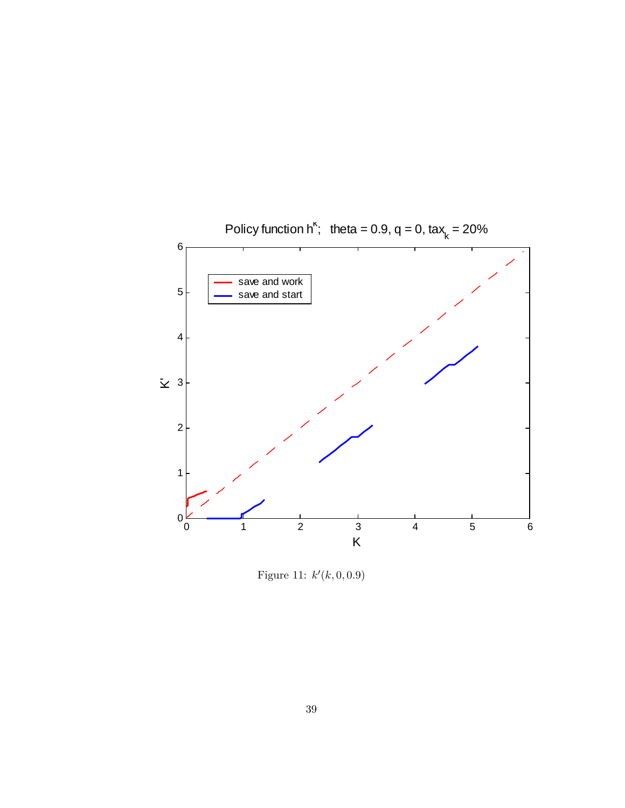

Figure 11:  $k'(k, 0, 0.9)$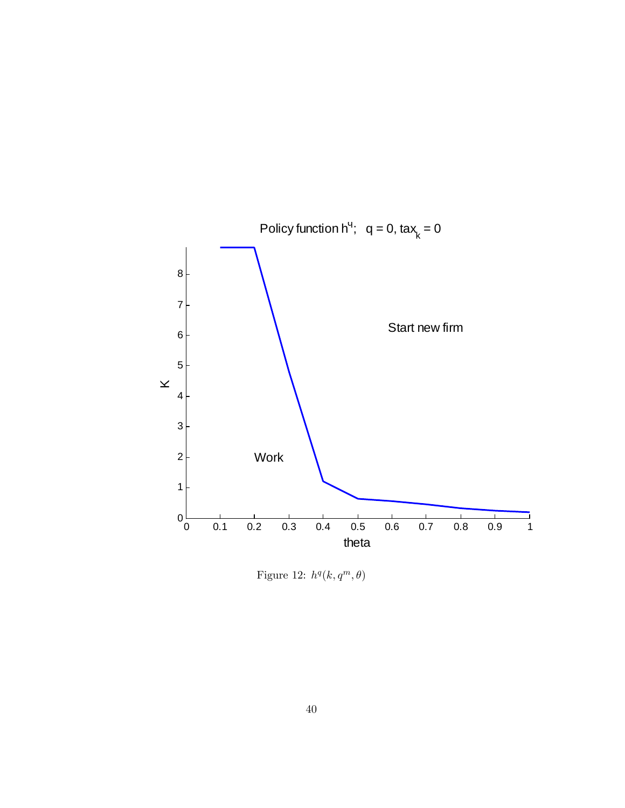

Figure 12:  $h^q(k, q^m, \theta)$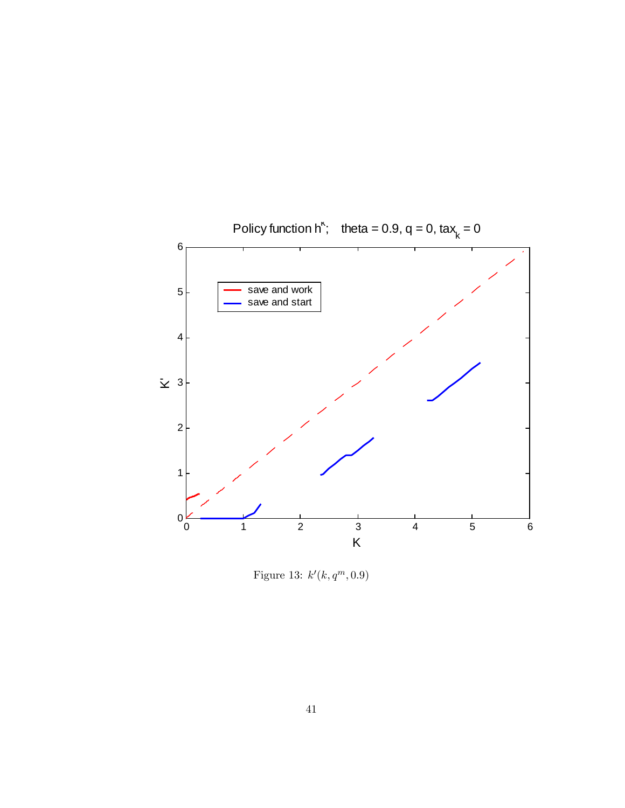

Figure 13:  $k'(k, q^m, 0.9)$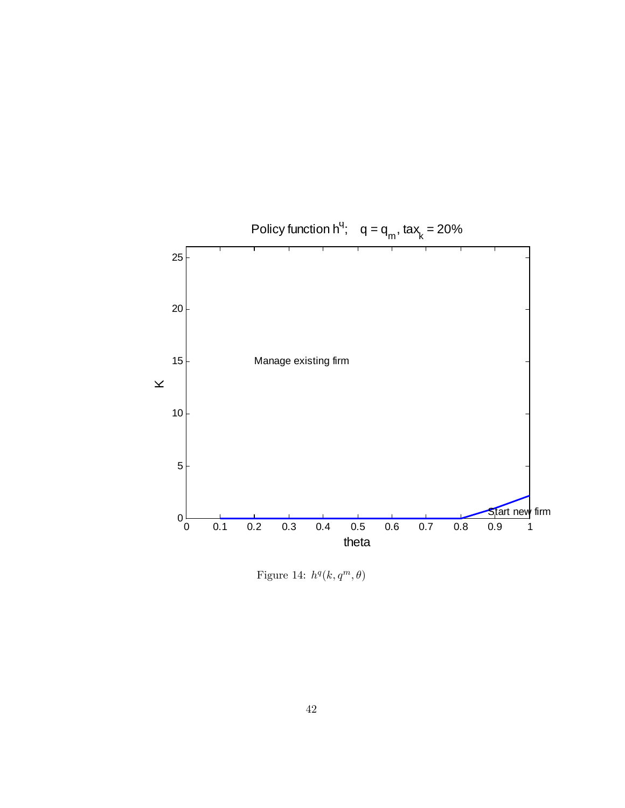

Figure 14:  $h^q(k, q^m, \theta)$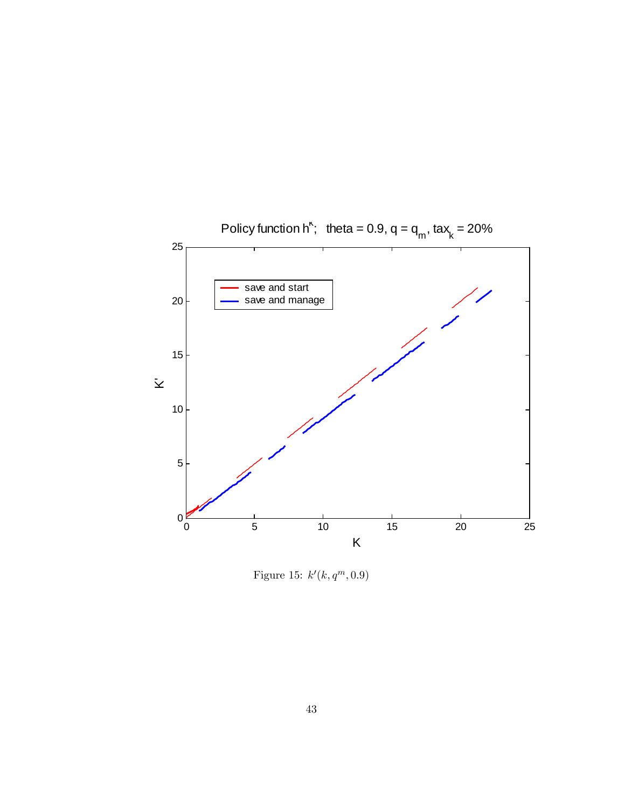

Figure 15:  $k'(k, q^m, 0.9)$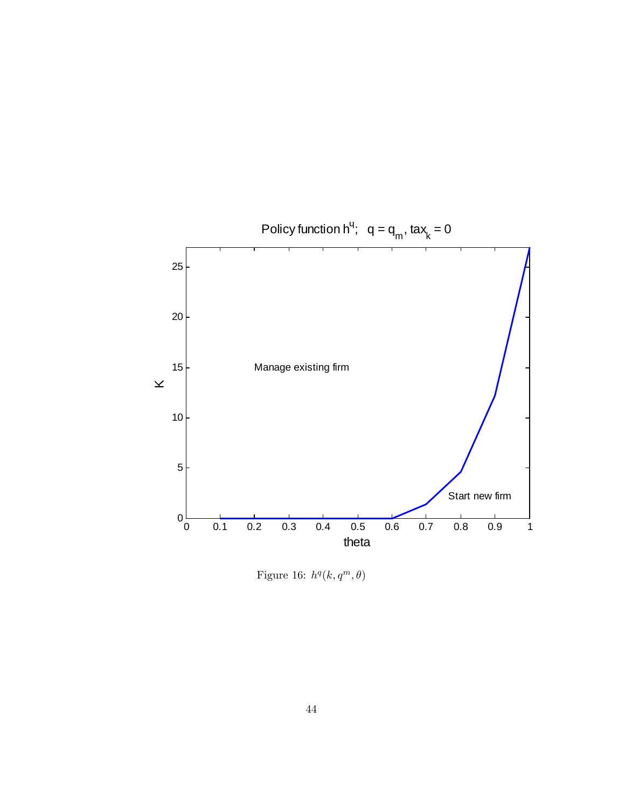

Figure 16:  $h^q(k, q^m, \theta)$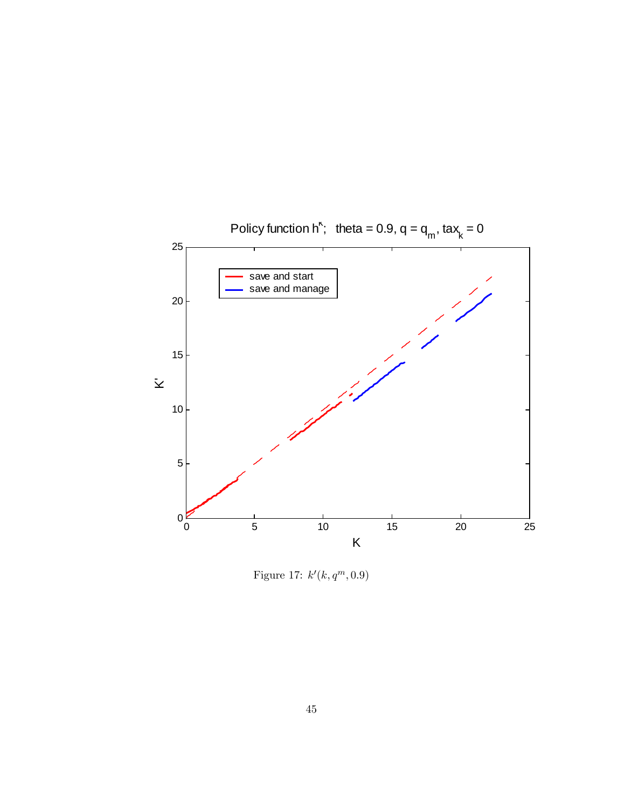

Figure 17:  $k'(k, q^m, 0.9)$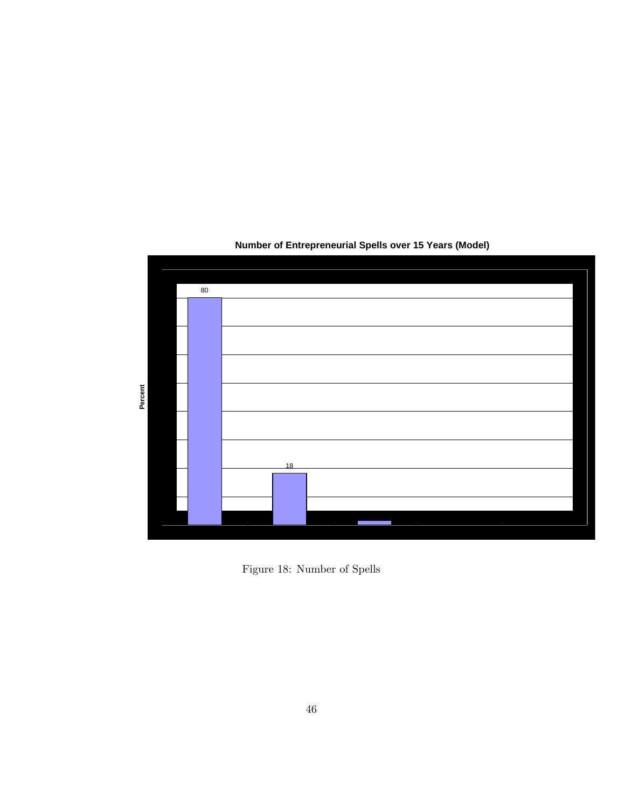

## **Number of Entrepreneurial Spells over 15 Years (Model)**

Figure 18: Number of Spells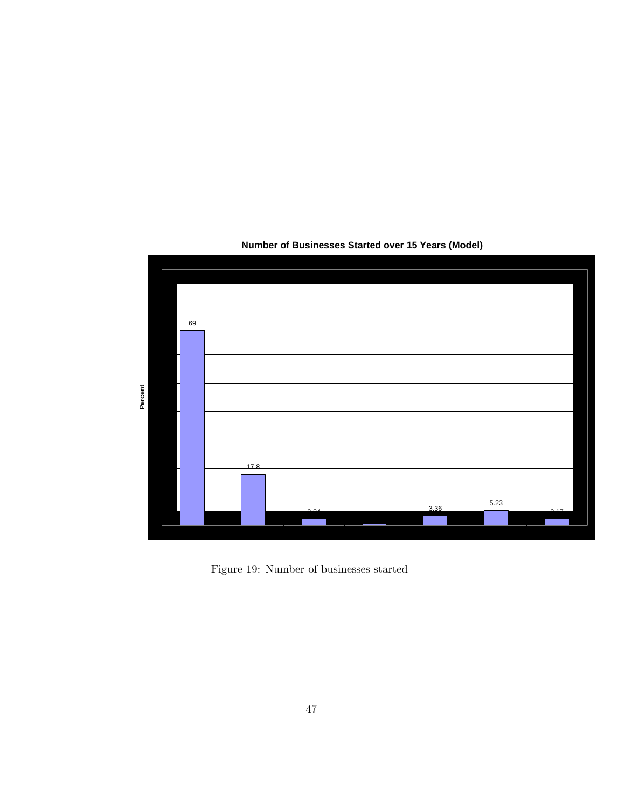

## **Number of Businesses Started over 15 Years (Model)**

Figure 19: Number of businesses started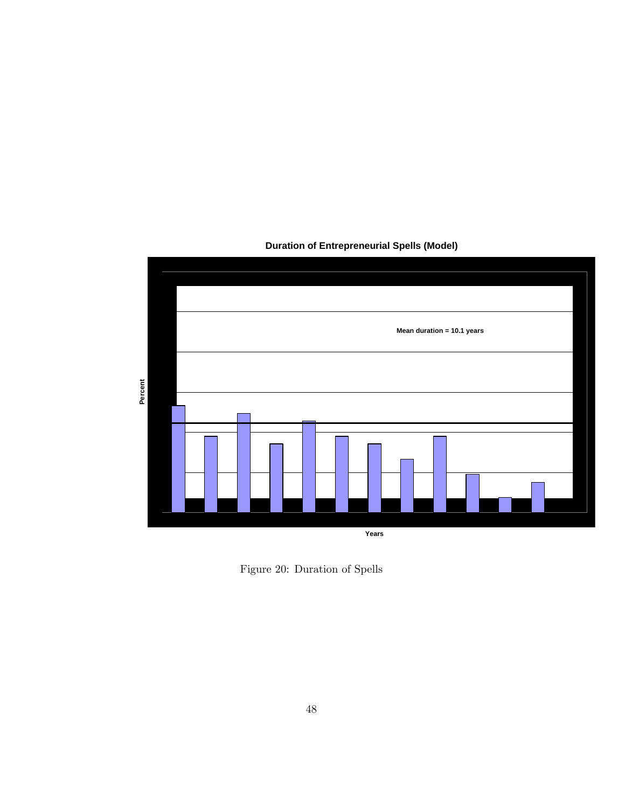

### **Duration of Entrepreneurial Spells (Model)**

Figure 20: Duration of Spells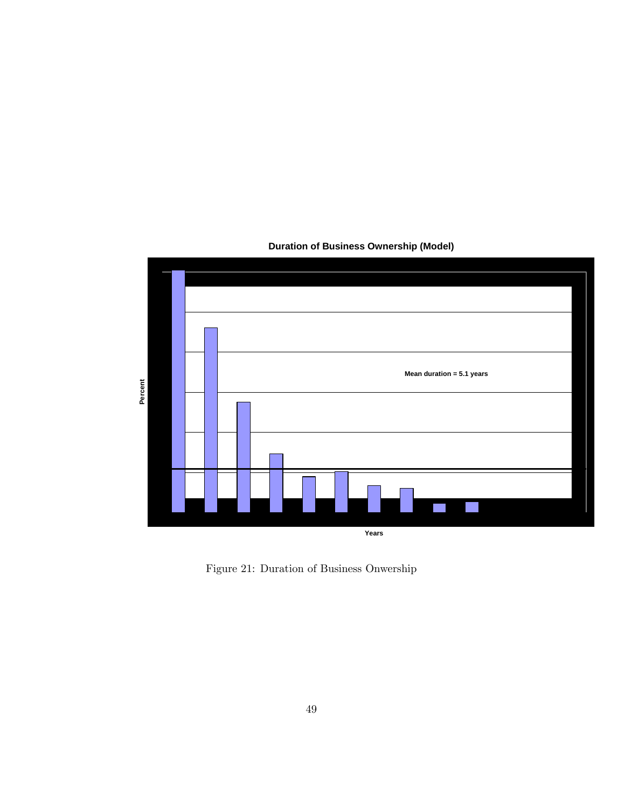

### **Duration of Business Ownership (Model)**

Figure 21: Duration of Business Onwership